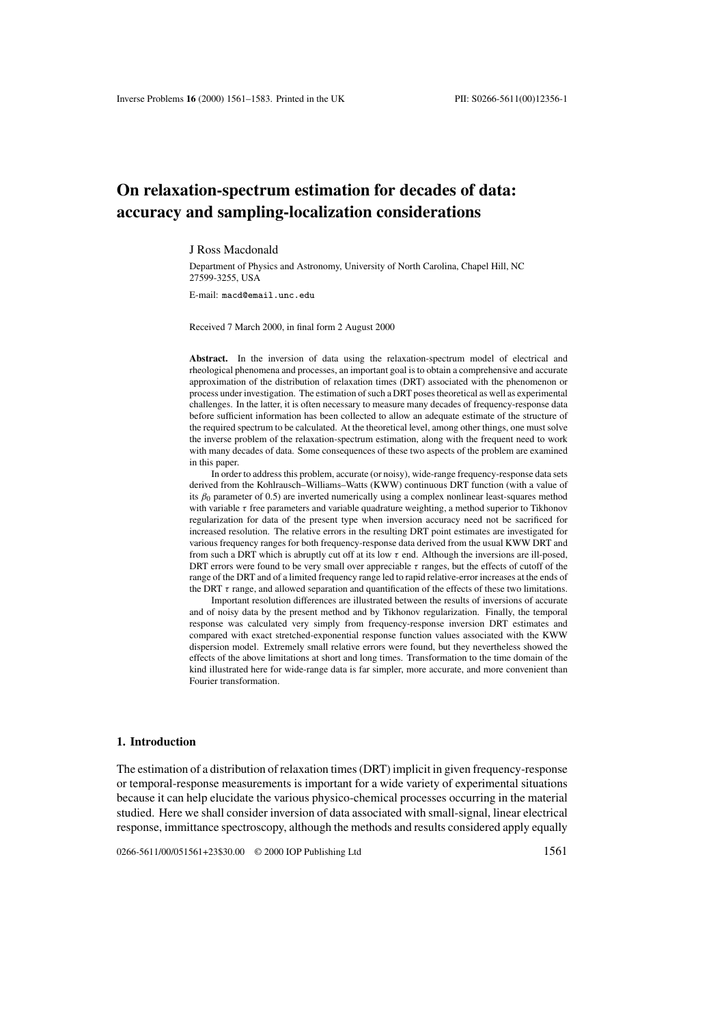# **On relaxation-spectrum estimation for decades of data: accuracy and sampling-localization considerations**

#### J Ross Macdonald

Department of Physics and Astronomy, University of North Carolina, Chapel Hill, NC 27599-3255, USA

E-mail: macd@email.unc.edu

Received 7 March 2000, in final form 2 August 2000

**Abstract.** In the inversion of data using the relaxation-spectrum model of electrical and rheological phenomena and processes, an important goal is to obtain a comprehensive and accurate approximation of the distribution of relaxation times (DRT) associated with the phenomenon or process under investigation. The estimation of such a DRT poses theoretical as well as experimental challenges. In the latter, it is often necessary to measure many decades of frequency-response data before sufficient information has been collected to allow an adequate estimate of the structure of the required spectrum to be calculated. At the theoretical level, among other things, one must solve the inverse problem of the relaxation-spectrum estimation, along with the frequent need to work with many decades of data. Some consequences of these two aspects of the problem are examined in this paper.

In order to address this problem, accurate (or noisy), wide-range frequency-response data sets derived from the Kohlrausch–Williams–Watts (KWW) continuous DRT function (with a value of its  $\beta_0$  parameter of 0.5) are inverted numerically using a complex nonlinear least-squares method with variable  $\tau$  free parameters and variable quadrature weighting, a method superior to Tikhonov regularization for data of the present type when inversion accuracy need not be sacrificed for increased resolution. The relative errors in the resulting DRT point estimates are investigated for various frequency ranges for both frequency-response data derived from the usual KWW DRT and from such a DRT which is abruptly cut off at its low  $\tau$  end. Although the inversions are ill-posed, DRT errors were found to be very small over appreciable  $\tau$  ranges, but the effects of cutoff of the range of the DRT and of a limited frequency range led to rapid relative-error increases at the ends of the DRT  $\tau$  range, and allowed separation and quantification of the effects of these two limitations.

Important resolution differences are illustrated between the results of inversions of accurate and of noisy data by the present method and by Tikhonov regularization. Finally, the temporal response was calculated very simply from frequency-response inversion DRT estimates and compared with exact stretched-exponential response function values associated with the KWW dispersion model. Extremely small relative errors were found, but they nevertheless showed the effects of the above limitations at short and long times. Transformation to the time domain of the kind illustrated here for wide-range data is far simpler, more accurate, and more convenient than Fourier transformation.

## **1. Introduction**

The estimation of a distribution of relaxation times (DRT) implicit in given frequency-response or temporal-response measurements is important for a wide variety of experimental situations because it can help elucidate the various physico-chemical processes occurring in the material studied. Here we shall consider inversion of data associated with small-signal, linear electrical response, immittance spectroscopy, although the methods and results considered apply equally

0266-5611/00/051561+23\$30.00 © 2000 IOP Publishing Ltd 1561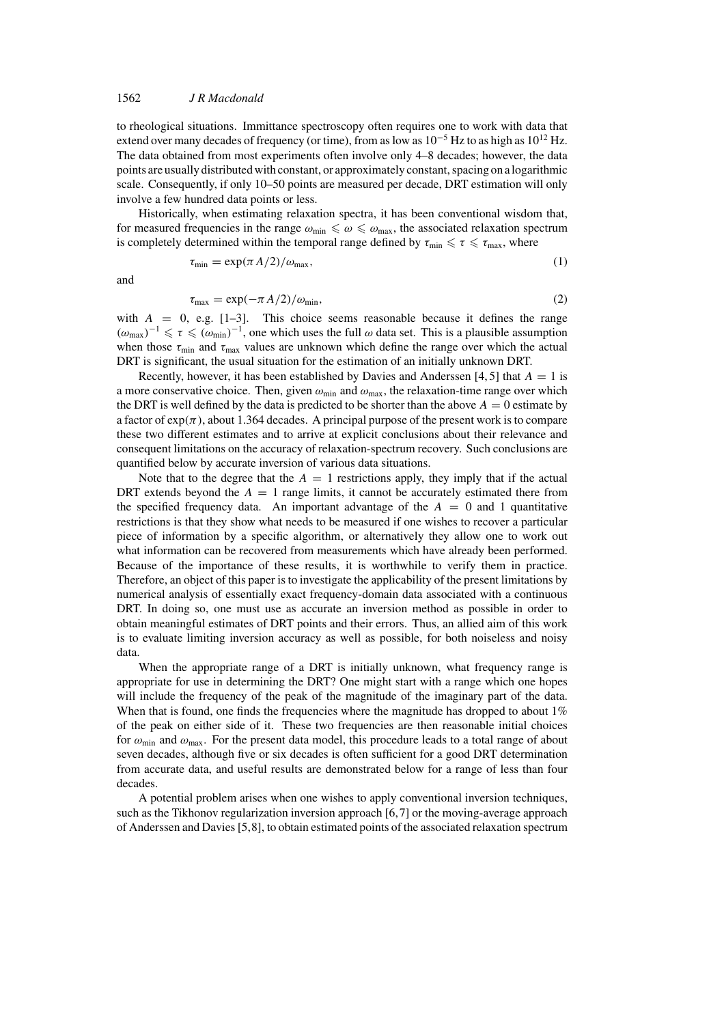to rheological situations. Immittance spectroscopy often requires one to work with data that extend over many decades of frequency (or time), from as low as  $10^{-5}$  Hz to as high as  $10^{12}$  Hz. The data obtained from most experiments often involve only 4–8 decades; however, the data points are usually distributed with constant, or approximately constant, spacing on a logarithmic scale. Consequently, if only 10–50 points are measured per decade, DRT estimation will only involve a few hundred data points or less.

Historically, when estimating relaxation spectra, it has been conventional wisdom that, for measured frequencies in the range  $\omega_{\text{min}} \leq \omega \leq \omega_{\text{max}}$ , the associated relaxation spectrum is completely determined within the temporal range defined by  $\tau_{\text{min}} \leq \tau \leq \tau_{\text{max}}$ , where

$$
\tau_{\min} = \exp(\pi A/2)/\omega_{\max},\tag{1}
$$

and

$$
\tau_{\text{max}} = \exp(-\pi A/2)/\omega_{\text{min}},\tag{2}
$$

with  $A = 0$ , e.g. [1-3]. This choice seems reasonable because it defines the range  $(\omega_{\text{max}})^{-1} \leq \tau \leq (\omega_{\text{min}})^{-1}$ , one which uses the full  $\omega$  data set. This is a plausible assumption when those  $\tau_{\text{min}}$  and  $\tau_{\text{max}}$  values are unknown which define the range over which the actual DRT is significant, the usual situation for the estimation of an initially unknown DRT.

Recently, however, it has been established by Davies and Anderssen [4, 5] that  $A = 1$  is a more conservative choice. Then, given  $\omega_{min}$  and  $\omega_{max}$ , the relaxation-time range over which the DRT is well defined by the data is predicted to be shorter than the above  $A = 0$  estimate by a factor of  $\exp(\pi)$ , about 1.364 decades. A principal purpose of the present work is to compare these two different estimates and to arrive at explicit conclusions about their relevance and consequent limitations on the accuracy of relaxation-spectrum recovery. Such conclusions are quantified below by accurate inversion of various data situations.

Note that to the degree that the  $A = 1$  restrictions apply, they imply that if the actual DRT extends beyond the  $A = 1$  range limits, it cannot be accurately estimated there from the specified frequency data. An important advantage of the  $A = 0$  and 1 quantitative restrictions is that they show what needs to be measured if one wishes to recover a particular piece of information by a specific algorithm, or alternatively they allow one to work out what information can be recovered from measurements which have already been performed. Because of the importance of these results, it is worthwhile to verify them in practice. Therefore, an object of this paper is to investigate the applicability of the present limitations by numerical analysis of essentially exact frequency-domain data associated with a continuous DRT. In doing so, one must use as accurate an inversion method as possible in order to obtain meaningful estimates of DRT points and their errors. Thus, an allied aim of this work is to evaluate limiting inversion accuracy as well as possible, for both noiseless and noisy data.

When the appropriate range of a DRT is initially unknown, what frequency range is appropriate for use in determining the DRT? One might start with a range which one hopes will include the frequency of the peak of the magnitude of the imaginary part of the data. When that is found, one finds the frequencies where the magnitude has dropped to about 1% of the peak on either side of it. These two frequencies are then reasonable initial choices for  $\omega_{\rm min}$  and  $\omega_{\rm max}$ . For the present data model, this procedure leads to a total range of about seven decades, although five or six decades is often sufficient for a good DRT determination from accurate data, and useful results are demonstrated below for a range of less than four decades.

A potential problem arises when one wishes to apply conventional inversion techniques, such as the Tikhonov regularization inversion approach [6,7] or the moving-average approach of Anderssen and Davies [5,8], to obtain estimated points of the associated relaxation spectrum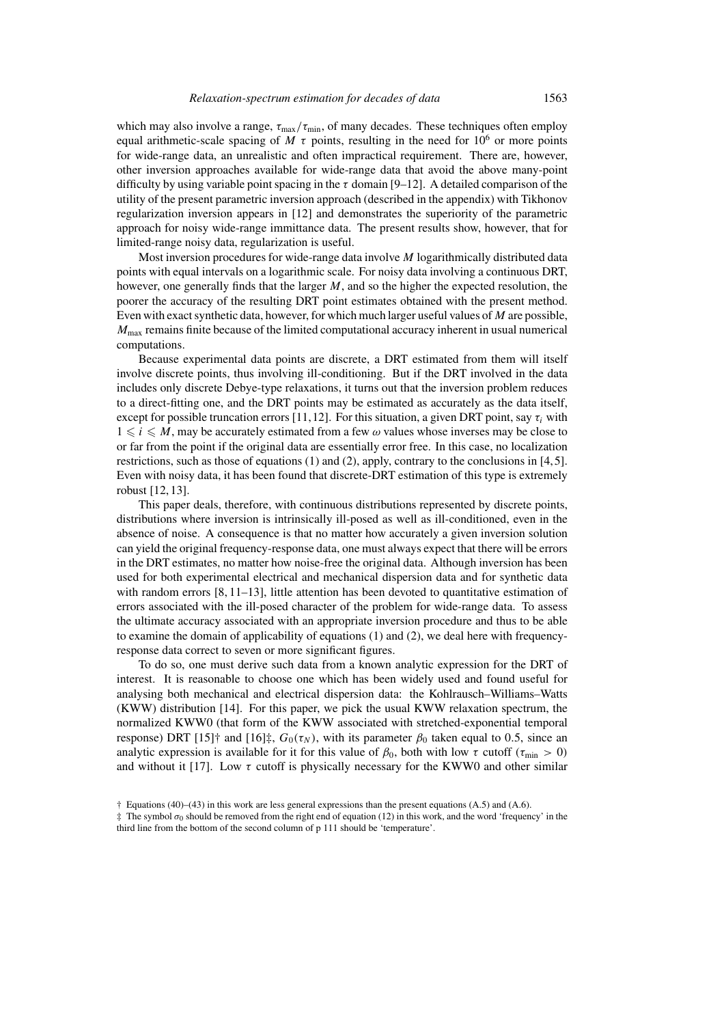which may also involve a range,  $\tau_{\text{max}}/\tau_{\text{min}}$ , of many decades. These techniques often employ equal arithmetic-scale spacing of M  $\tau$  points, resulting in the need for 10<sup>6</sup> or more points for wide-range data, an unrealistic and often impractical requirement. There are, however, other inversion approaches available for wide-range data that avoid the above many-point difficulty by using variable point spacing in the  $\tau$  domain [9–12]. A detailed comparison of the utility of the present parametric inversion approach (described in the appendix) with Tikhonov regularization inversion appears in [12] and demonstrates the superiority of the parametric approach for noisy wide-range immittance data. The present results show, however, that for limited-range noisy data, regularization is useful.

Most inversion procedures for wide-range data involve M logarithmically distributed data points with equal intervals on a logarithmic scale. For noisy data involving a continuous DRT, however, one generally finds that the larger  $M$ , and so the higher the expected resolution, the poorer the accuracy of the resulting DRT point estimates obtained with the present method. Even with exact synthetic data, however, for which much larger useful values of M are possible,  $M_{\text{max}}$  remains finite because of the limited computational accuracy inherent in usual numerical computations.

Because experimental data points are discrete, a DRT estimated from them will itself involve discrete points, thus involving ill-conditioning. But if the DRT involved in the data includes only discrete Debye-type relaxations, it turns out that the inversion problem reduces to a direct-fitting one, and the DRT points may be estimated as accurately as the data itself, except for possible truncation errors [11,12]. For this situation, a given DRT point, say  $\tau_i$  with  $1 \le i \le M$ , may be accurately estimated from a few  $\omega$  values whose inverses may be close to or far from the point if the original data are essentially error free. In this case, no localization restrictions, such as those of equations  $(1)$  and  $(2)$ , apply, contrary to the conclusions in [4,5]. Even with noisy data, it has been found that discrete-DRT estimation of this type is extremely robust [12, 13].

This paper deals, therefore, with continuous distributions represented by discrete points, distributions where inversion is intrinsically ill-posed as well as ill-conditioned, even in the absence of noise. A consequence is that no matter how accurately a given inversion solution can yield the original frequency-response data, one must always expect that there will be errors in the DRT estimates, no matter how noise-free the original data. Although inversion has been used for both experimental electrical and mechanical dispersion data and for synthetic data with random errors  $[8, 11-13]$ , little attention has been devoted to quantitative estimation of errors associated with the ill-posed character of the problem for wide-range data. To assess the ultimate accuracy associated with an appropriate inversion procedure and thus to be able to examine the domain of applicability of equations (1) and (2), we deal here with frequencyresponse data correct to seven or more significant figures.

To do so, one must derive such data from a known analytic expression for the DRT of interest. It is reasonable to choose one which has been widely used and found useful for analysing both mechanical and electrical dispersion data: the Kohlrausch–Williams–Watts (KWW) distribution [14]. For this paper, we pick the usual KWW relaxation spectrum, the normalized KWW0 (that form of the KWW associated with stretched-exponential temporal response) DRT [15]† and [16]‡,  $G_0(\tau_N)$ , with its parameter  $\beta_0$  taken equal to 0.5, since an analytic expression is available for it for this value of  $\beta_0$ , both with low τ cutoff ( $\tau_{\text{min}} > 0$ ) and without it [17]. Low  $\tau$  cutoff is physically necessary for the KWW0 and other similar

<sup>†</sup> Equations (40)–(43) in this work are less general expressions than the present equations (A.5) and (A.6).

 $\ddagger$  The symbol  $\sigma_0$  should be removed from the right end of equation (12) in this work, and the word 'frequency' in the third line from the bottom of the second column of p 111 should be 'temperature'.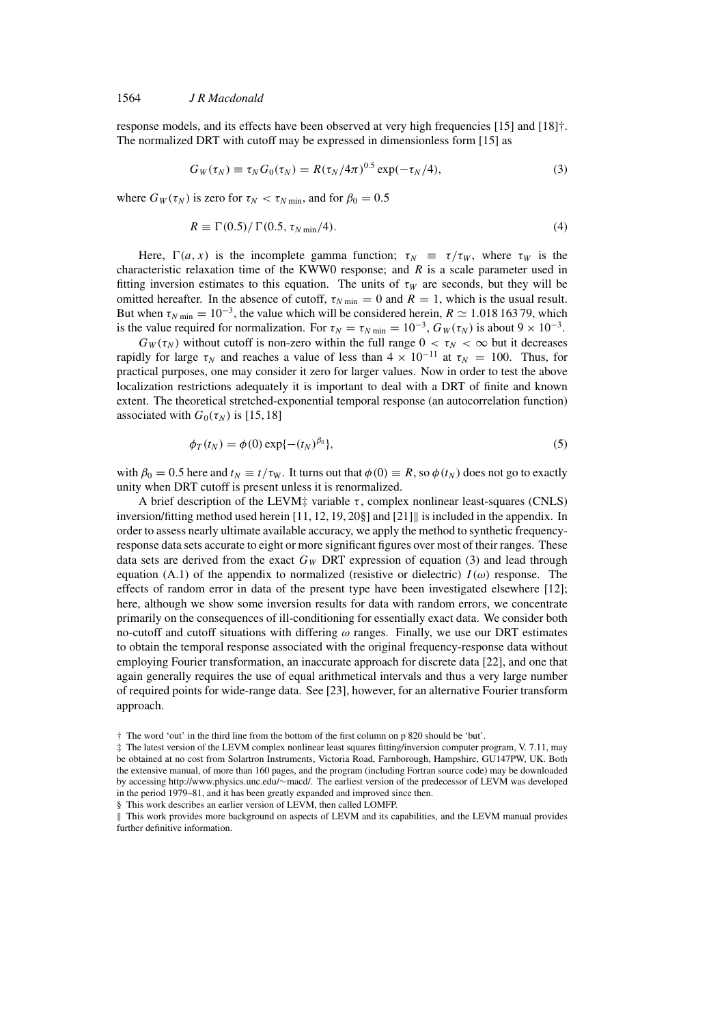### 1564 *J R Macdonald*

response models, and its effects have been observed at very high frequencies [15] and [18]†. The normalized DRT with cutoff may be expressed in dimensionless form [15] as

$$
G_W(\tau_N) \equiv \tau_N G_0(\tau_N) = R(\tau_N/4\pi)^{0.5} \exp(-\tau_N/4), \qquad (3)
$$

where  $G_W(\tau_N)$  is zero for  $\tau_N < \tau_{N \text{ min}}$ , and for  $\beta_0 = 0.5$ 

$$
R \equiv \Gamma(0.5)/\Gamma(0.5, \tau_{N\min}/4). \tag{4}
$$

Here,  $\Gamma(a, x)$  is the incomplete gamma function;  $\tau_N = \tau/\tau_W$ , where  $\tau_W$  is the characteristic relaxation time of the KWW0 response; and  $R$  is a scale parameter used in fitting inversion estimates to this equation. The units of  $\tau_W$  are seconds, but they will be omitted hereafter. In the absence of cutoff,  $\tau_{N \text{ min}} = 0$  and  $R = 1$ , which is the usual result. But when  $\tau_{N \text{ min}} = 10^{-3}$ , the value which will be considered herein,  $R \simeq 1.018\,163\,79$ , which is the value required for normalization. For  $\tau_N = \tau_{N \text{ min}} = 10^{-3}$ ,  $G_W(\tau_N)$  is about  $9 \times 10^{-3}$ .

 $G_W(\tau_N)$  without cutoff is non-zero within the full range  $0 < \tau_N < \infty$  but it decreases rapidly for large  $\tau_N$  and reaches a value of less than  $4 \times 10^{-11}$  at  $\tau_N = 100$ . Thus, for practical purposes, one may consider it zero for larger values. Now in order to test the above localization restrictions adequately it is important to deal with a DRT of finite and known extent. The theoretical stretched-exponential temporal response (an autocorrelation function) associated with  $G_0(\tau_N)$  is [15, 18]

$$
\phi_T(t_N) = \phi(0) \exp\{-(t_N)^{\beta_0}\},\tag{5}
$$

with  $\beta_0 = 0.5$  here and  $t_N \equiv t/\tau_W$ . It turns out that  $\phi(0) \equiv R$ , so  $\phi(t_N)$  does not go to exactly unity when DRT cutoff is present unless it is renormalized.

A brief description of the LEVM‡ variable  $\tau$ , complex nonlinear least-squares (CNLS) inversion/fitting method used herein  $[11, 12, 19, 20$ §] and  $[21]$  is included in the appendix. In order to assess nearly ultimate available accuracy, we apply the method to synthetic frequencyresponse data sets accurate to eight or more significant figures over most of their ranges. These data sets are derived from the exact  $G_W$  DRT expression of equation (3) and lead through equation (A.1) of the appendix to normalized (resistive or dielectric)  $I(\omega)$  response. The effects of random error in data of the present type have been investigated elsewhere [12]; here, although we show some inversion results for data with random errors, we concentrate primarily on the consequences of ill-conditioning for essentially exact data. We consider both no-cutoff and cutoff situations with differing  $\omega$  ranges. Finally, we use our DRT estimates to obtain the temporal response associated with the original frequency-response data without employing Fourier transformation, an inaccurate approach for discrete data [22], and one that again generally requires the use of equal arithmetical intervals and thus a very large number of required points for wide-range data. See [23], however, for an alternative Fourier transform approach.

§ This work describes an earlier version of LEVM, then called LOMFP.

 This work provides more background on aspects of LEVM and its capabilities, and the LEVM manual provides further definitive information.

<sup>†</sup> The word 'out' in the third line from the bottom of the first column on p 820 should be 'but'.

<sup>‡</sup> The latest version of the LEVM complex nonlinear least squares fitting/inversion computer program, V. 7.11, may be obtained at no cost from Solartron Instruments, Victoria Road, Farnborough, Hampshire, GU147PW, UK. Both the extensive manual, of more than 160 pages, and the program (including Fortran source code) may be downloaded by accessing http://www.physics.unc.edu/∼macd/. The earliest version of the predecessor of LEVM was developed in the period 1979–81, and it has been greatly expanded and improved since then.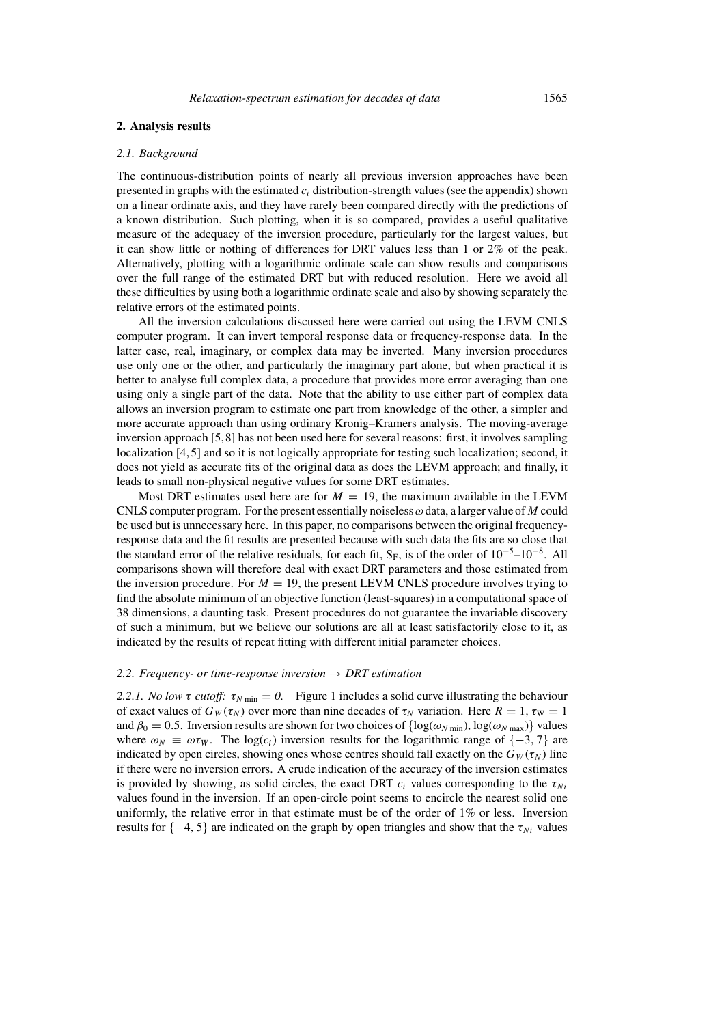### **2. Analysis results**

### *2.1. Background*

The continuous-distribution points of nearly all previous inversion approaches have been presented in graphs with the estimated  $c_i$  distribution-strength values (see the appendix) shown on a linear ordinate axis, and they have rarely been compared directly with the predictions of a known distribution. Such plotting, when it is so compared, provides a useful qualitative measure of the adequacy of the inversion procedure, particularly for the largest values, but it can show little or nothing of differences for DRT values less than 1 or 2% of the peak. Alternatively, plotting with a logarithmic ordinate scale can show results and comparisons over the full range of the estimated DRT but with reduced resolution. Here we avoid all these difficulties by using both a logarithmic ordinate scale and also by showing separately the relative errors of the estimated points.

All the inversion calculations discussed here were carried out using the LEVM CNLS computer program. It can invert temporal response data or frequency-response data. In the latter case, real, imaginary, or complex data may be inverted. Many inversion procedures use only one or the other, and particularly the imaginary part alone, but when practical it is better to analyse full complex data, a procedure that provides more error averaging than one using only a single part of the data. Note that the ability to use either part of complex data allows an inversion program to estimate one part from knowledge of the other, a simpler and more accurate approach than using ordinary Kronig–Kramers analysis. The moving-average inversion approach [5,8] has not been used here for several reasons: first, it involves sampling localization [4,5] and so it is not logically appropriate for testing such localization; second, it does not yield as accurate fits of the original data as does the LEVM approach; and finally, it leads to small non-physical negative values for some DRT estimates.

Most DRT estimates used here are for  $M = 19$ , the maximum available in the LEVM CNLS computer program. For the present essentially noiseless  $\omega$  data, a larger value of M could be used but is unnecessary here. In this paper, no comparisons between the original frequencyresponse data and the fit results are presented because with such data the fits are so close that the standard error of the relative residuals, for each fit,  $S_F$ , is of the order of  $10^{-5}$ – $10^{-8}$ . All comparisons shown will therefore deal with exact DRT parameters and those estimated from the inversion procedure. For  $M = 19$ , the present LEVM CNLS procedure involves trying to find the absolute minimum of an objective function (least-squares) in a computational space of 38 dimensions, a daunting task. Present procedures do not guarantee the invariable discovery of such a minimum, but we believe our solutions are all at least satisfactorily close to it, as indicated by the results of repeat fitting with different initial parameter choices.

### 2.2. Frequency- or time-response inversion  $\rightarrow$  DRT estimation

*2.2.1. No low* τ *cutoff:*  $\tau_{N \text{ min}} = 0$ . Figure 1 includes a solid curve illustrating the behaviour of exact values of  $G_W(\tau_N)$  over more than nine decades of  $\tau_N$  variation. Here  $R = 1$ ,  $\tau_W = 1$ and  $\beta_0 = 0.5$ . Inversion results are shown for two choices of  $\{\log(\omega_{N \min}), \log(\omega_{N \max})\}$  values where  $\omega_N \equiv \omega \tau_W$ . The log(c<sub>i</sub>) inversion results for the logarithmic range of  $\{-3, 7\}$  are indicated by open circles, showing ones whose centres should fall exactly on the  $G_W(\tau_N)$  line if there were no inversion errors. A crude indication of the accuracy of the inversion estimates is provided by showing, as solid circles, the exact DRT  $c_i$  values corresponding to the  $\tau_{Ni}$ values found in the inversion. If an open-circle point seems to encircle the nearest solid one uniformly, the relative error in that estimate must be of the order of 1% or less. Inversion results for  $\{-4, 5\}$  are indicated on the graph by open triangles and show that the  $\tau_{Ni}$  values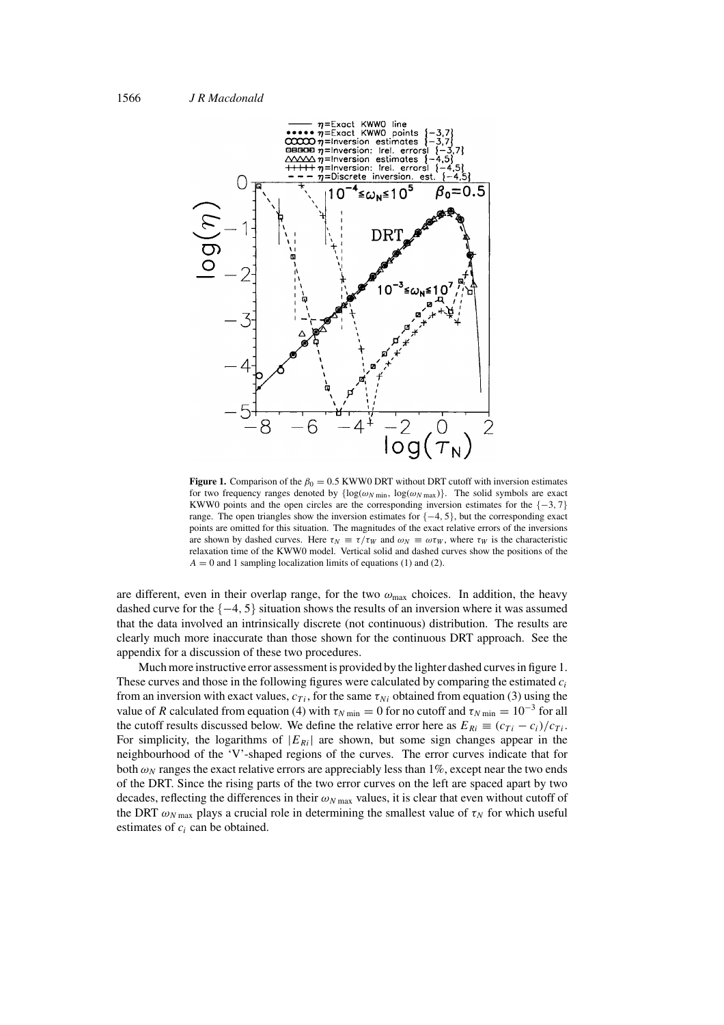

**Figure 1.** Comparison of the  $\beta_0 = 0.5$  KWW0 DRT without DRT cutoff with inversion estimates for two frequency ranges denoted by  $\{ \log(\omega_{N \min}, \log(\omega_{N \max})) \}$ . The solid symbols are exact KWW0 points and the open circles are the corresponding inversion estimates for the  $\{-3, 7\}$ range. The open triangles show the inversion estimates for  $\{-4, 5\}$ , but the corresponding exact points are omitted for this situation. The magnitudes of the exact relative errors of the inversions are shown by dashed curves. Here  $\tau_N \equiv \tau/\tau_W$  and  $\omega_N \equiv \omega \tau_W$ , where  $\tau_W$  is the characteristic relaxation time of the KWW0 model. Vertical solid and dashed curves show the positions of the  $A = 0$  and 1 sampling localization limits of equations (1) and (2).

are different, even in their overlap range, for the two  $\omega_{\text{max}}$  choices. In addition, the heavy dashed curve for the  $\{-4, 5\}$  situation shows the results of an inversion where it was assumed that the data involved an intrinsically discrete (not continuous) distribution. The results are clearly much more inaccurate than those shown for the continuous DRT approach. See the appendix for a discussion of these two procedures.

Much more instructive error assessment is provided by the lighter dashed curves in figure 1. These curves and those in the following figures were calculated by comparing the estimated  $c_i$ from an inversion with exact values,  $c_{Ti}$ , for the same  $\tau_{Ni}$  obtained from equation (3) using the value of R calculated from equation (4) with  $\tau_{N \text{ min}} = 0$  for no cutoff and  $\tau_{N \text{ min}} = 10^{-3}$  for all the cutoff results discussed below. We define the relative error here as  $E_{Ri} \equiv (c_{Ti} - c_i)/c_{Ti}$ . For simplicity, the logarithms of  $|E_{Ri}|$  are shown, but some sign changes appear in the neighbourhood of the 'V'-shaped regions of the curves. The error curves indicate that for both  $\omega_N$  ranges the exact relative errors are appreciably less than 1%, except near the two ends of the DRT. Since the rising parts of the two error curves on the left are spaced apart by two decades, reflecting the differences in their  $\omega_{N \max}$  values, it is clear that even without cutoff of the DRT  $\omega_{N\,\text{max}}$  plays a crucial role in determining the smallest value of  $\tau_N$  for which useful estimates of  $c_i$  can be obtained.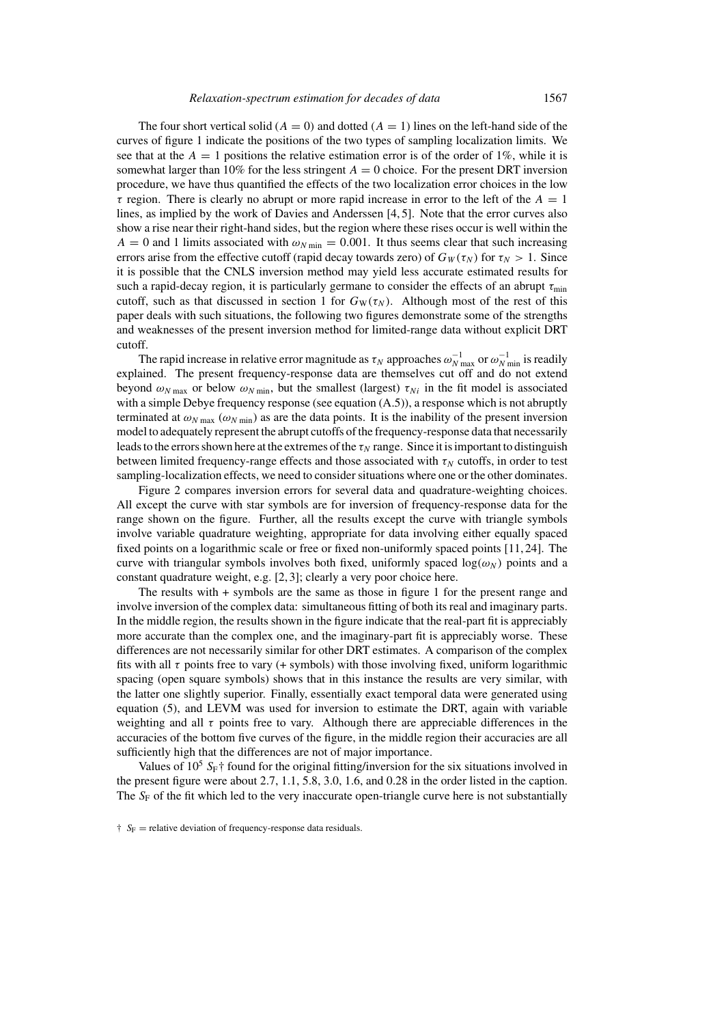The four short vertical solid ( $A = 0$ ) and dotted ( $A = 1$ ) lines on the left-hand side of the curves of figure 1 indicate the positions of the two types of sampling localization limits. We see that at the  $A = 1$  positions the relative estimation error is of the order of 1%, while it is somewhat larger than 10% for the less stringent  $A = 0$  choice. For the present DRT inversion procedure, we have thus quantified the effects of the two localization error choices in the low  $\tau$  region. There is clearly no abrupt or more rapid increase in error to the left of the  $A = 1$ lines, as implied by the work of Davies and Anderssen [4, 5]. Note that the error curves also show a rise near their right-hand sides, but the region where these rises occur is well within the  $A = 0$  and 1 limits associated with  $\omega_{N \text{ min}} = 0.001$ . It thus seems clear that such increasing errors arise from the effective cutoff (rapid decay towards zero) of  $G_W(\tau_N)$  for  $\tau_N > 1$ . Since it is possible that the CNLS inversion method may yield less accurate estimated results for such a rapid-decay region, it is particularly germane to consider the effects of an abrupt  $\tau_{\min}$ cutoff, such as that discussed in section 1 for  $G_W(\tau_N)$ . Although most of the rest of this paper deals with such situations, the following two figures demonstrate some of the strengths and weaknesses of the present inversion method for limited-range data without explicit DRT cutoff.

The rapid increase in relative error magnitude as  $\tau_N$  approaches  $\omega_{N \max}^{-1}$  or  $\omega_{N \min}^{-1}$  is readily explained. The present frequency-response data are themselves cut off and do not extend beyond  $\omega_{Nmax}$  or below  $\omega_{Nmin}$ , but the smallest (largest)  $\tau_{Ni}$  in the fit model is associated with a simple Debye frequency response (see equation  $(A.5)$ ), a response which is not abruptly terminated at  $\omega_{N \text{ max}}$  ( $\omega_{N \text{ min}}$ ) as are the data points. It is the inability of the present inversion model to adequately represent the abrupt cutoffs of the frequency-response data that necessarily leads to the errors shown here at the extremes of the  $\tau_N$  range. Since it is important to distinguish between limited frequency-range effects and those associated with  $\tau_N$  cutoffs, in order to test sampling-localization effects, we need to consider situations where one or the other dominates.

Figure 2 compares inversion errors for several data and quadrature-weighting choices. All except the curve with star symbols are for inversion of frequency-response data for the range shown on the figure. Further, all the results except the curve with triangle symbols involve variable quadrature weighting, appropriate for data involving either equally spaced fixed points on a logarithmic scale or free or fixed non-uniformly spaced points [11, 24]. The curve with triangular symbols involves both fixed, uniformly spaced  $log(\omega_N)$  points and a constant quadrature weight, e.g. [2, 3]; clearly a very poor choice here.

The results with + symbols are the same as those in figure 1 for the present range and involve inversion of the complex data: simultaneous fitting of both its real and imaginary parts. In the middle region, the results shown in the figure indicate that the real-part fit is appreciably more accurate than the complex one, and the imaginary-part fit is appreciably worse. These differences are not necessarily similar for other DRT estimates. A comparison of the complex fits with all  $\tau$  points free to vary (+ symbols) with those involving fixed, uniform logarithmic spacing (open square symbols) shows that in this instance the results are very similar, with the latter one slightly superior. Finally, essentially exact temporal data were generated using equation (5), and LEVM was used for inversion to estimate the DRT, again with variable weighting and all  $\tau$  points free to vary. Although there are appreciable differences in the accuracies of the bottom five curves of the figure, in the middle region their accuracies are all sufficiently high that the differences are not of major importance.

Values of  $10^5$  S<sub>F</sub>† found for the original fitting/inversion for the six situations involved in the present figure were about 2.7, 1.1, 5.8, 3.0, 1.6, and 0.28 in the order listed in the caption. The  $S_F$  of the fit which led to the very inaccurate open-triangle curve here is not substantially

 $\dagger$  S<sub>F</sub> = relative deviation of frequency-response data residuals.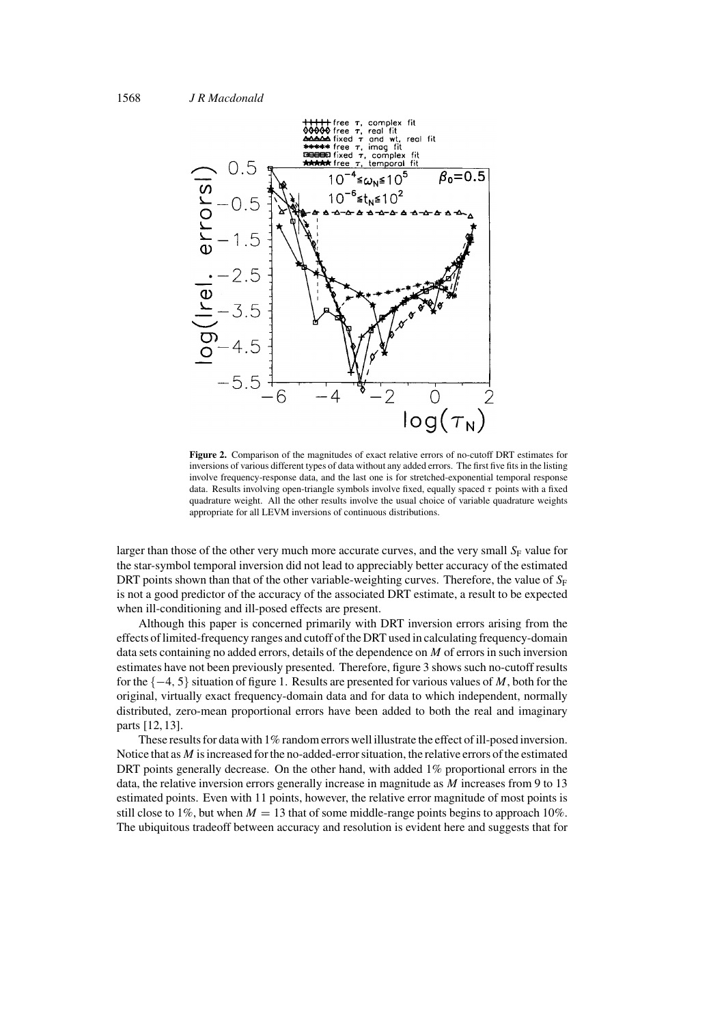

**Figure 2.** Comparison of the magnitudes of exact relative errors of no-cutoff DRT estimates for inversions of various different types of data without any added errors. The first five fits in the listing involve frequency-response data, and the last one is for stretched-exponential temporal response data. Results involving open-triangle symbols involve fixed, equally spaced  $\tau$  points with a fixed quadrature weight. All the other results involve the usual choice of variable quadrature weights appropriate for all LEVM inversions of continuous distributions.

larger than those of the other very much more accurate curves, and the very small  $S_F$  value for the star-symbol temporal inversion did not lead to appreciably better accuracy of the estimated DRT points shown than that of the other variable-weighting curves. Therefore, the value of  $S_F$ is not a good predictor of the accuracy of the associated DRT estimate, a result to be expected when ill-conditioning and ill-posed effects are present.

Although this paper is concerned primarily with DRT inversion errors arising from the effects of limited-frequency ranges and cutoff of the DRT used in calculating frequency-domain data sets containing no added errors, details of the dependence on  $M$  of errors in such inversion estimates have not been previously presented. Therefore, figure 3 shows such no-cutoff results for the  $\{-4, 5\}$  situation of figure 1. Results are presented for various values of M, both for the original, virtually exact frequency-domain data and for data to which independent, normally distributed, zero-mean proportional errors have been added to both the real and imaginary parts [12, 13].

These results for data with 1% random errors well illustrate the effect of ill-posed inversion. Notice that as  $M$  is increased for the no-added-error situation, the relative errors of the estimated DRT points generally decrease. On the other hand, with added 1% proportional errors in the data, the relative inversion errors generally increase in magnitude as  $M$  increases from 9 to 13 estimated points. Even with 11 points, however, the relative error magnitude of most points is still close to 1%, but when  $M = 13$  that of some middle-range points begins to approach 10%. The ubiquitous tradeoff between accuracy and resolution is evident here and suggests that for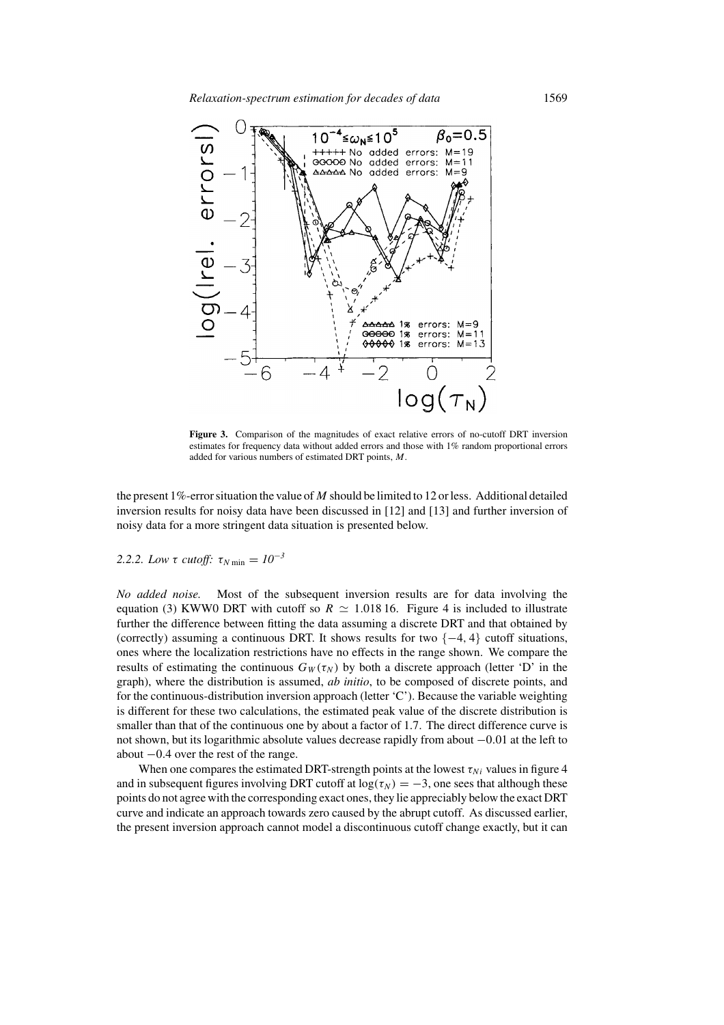

**Figure 3.** Comparison of the magnitudes of exact relative errors of no-cutoff DRT inversion estimates for frequency data without added errors and those with 1% random proportional errors added for various numbers of estimated DRT points, M.

the present 1%-error situation the value of M should be limited to 12 or less. Additional detailed inversion results for noisy data have been discussed in [12] and [13] and further inversion of noisy data for a more stringent data situation is presented below.

# 2.2.2. Low τ *cutoff:*  $\tau_{N \text{ min}} = 10^{-3}$

*No added noise.* Most of the subsequent inversion results are for data involving the equation (3) KWW0 DRT with cutoff so  $R \simeq 1.018$  16. Figure 4 is included to illustrate further the difference between fitting the data assuming a discrete DRT and that obtained by (correctly) assuming a continuous DRT. It shows results for two  $\{-4, 4\}$  cutoff situations, ones where the localization restrictions have no effects in the range shown. We compare the results of estimating the continuous  $G_W(\tau_N)$  by both a discrete approach (letter 'D' in the graph), where the distribution is assumed, *ab initio*, to be composed of discrete points, and for the continuous-distribution inversion approach (letter 'C'). Because the variable weighting is different for these two calculations, the estimated peak value of the discrete distribution is smaller than that of the continuous one by about a factor of 1.7. The direct difference curve is not shown, but its logarithmic absolute values decrease rapidly from about −0.01 at the left to about −0.4 over the rest of the range.

When one compares the estimated DRT-strength points at the lowest  $\tau_{Ni}$  values in figure 4 and in subsequent figures involving DRT cutoff at  $log(\tau_N) = -3$ , one sees that although these points do not agree with the corresponding exact ones, they lie appreciably below the exact DRT curve and indicate an approach towards zero caused by the abrupt cutoff. As discussed earlier, the present inversion approach cannot model a discontinuous cutoff change exactly, but it can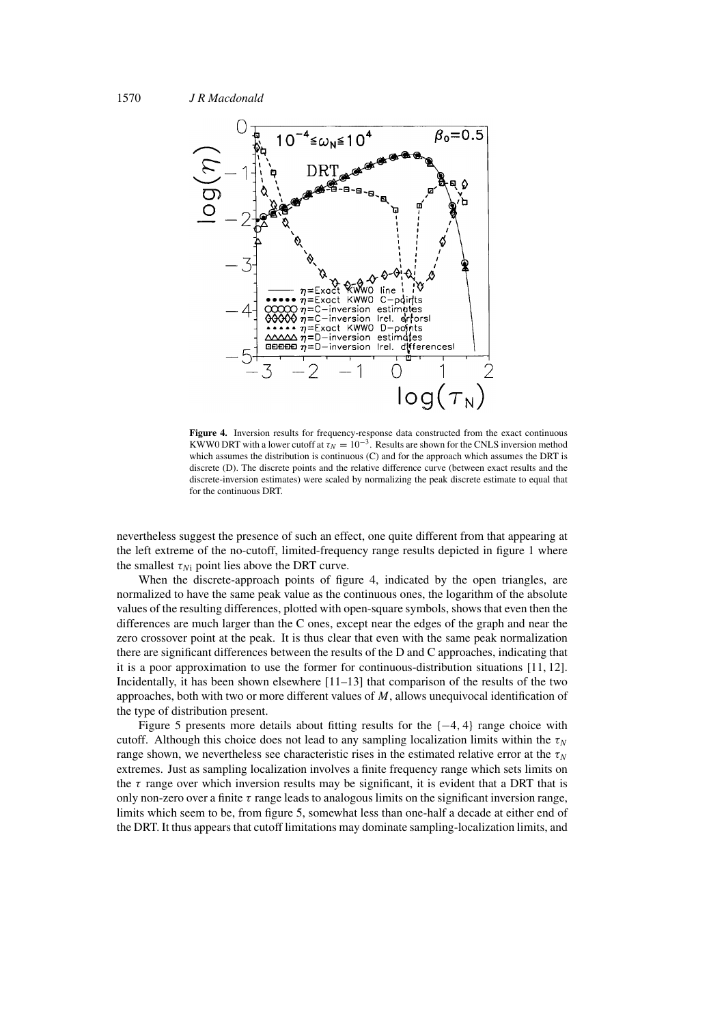

**Figure 4.** Inversion results for frequency-response data constructed from the exact continuous KWW0 DRT with a lower cutoff at  $\tau_N = 10^{-3}$ . Results are shown for the CNLS inversion method which assumes the distribution is continuous (C) and for the approach which assumes the DRT is discrete (D). The discrete points and the relative difference curve (between exact results and the discrete-inversion estimates) were scaled by normalizing the peak discrete estimate to equal that for the continuous DRT.

nevertheless suggest the presence of such an effect, one quite different from that appearing at the left extreme of the no-cutoff, limited-frequency range results depicted in figure 1 where the smallest  $\tau_{Ni}$  point lies above the DRT curve.

When the discrete-approach points of figure 4, indicated by the open triangles, are normalized to have the same peak value as the continuous ones, the logarithm of the absolute values of the resulting differences, plotted with open-square symbols, shows that even then the differences are much larger than the C ones, except near the edges of the graph and near the zero crossover point at the peak. It is thus clear that even with the same peak normalization there are significant differences between the results of the D and C approaches, indicating that it is a poor approximation to use the former for continuous-distribution situations [11, 12]. Incidentally, it has been shown elsewhere  $[11-13]$  that comparison of the results of the two approaches, both with two or more different values of M, allows unequivocal identification of the type of distribution present.

Figure 5 presents more details about fitting results for the  $\{-4, 4\}$  range choice with cutoff. Although this choice does not lead to any sampling localization limits within the  $\tau_N$ range shown, we nevertheless see characteristic rises in the estimated relative error at the  $\tau_N$ extremes. Just as sampling localization involves a finite frequency range which sets limits on the  $\tau$  range over which inversion results may be significant, it is evident that a DRT that is only non-zero over a finite  $\tau$  range leads to analogous limits on the significant inversion range, limits which seem to be, from figure 5, somewhat less than one-half a decade at either end of the DRT. It thus appears that cutoff limitations may dominate sampling-localization limits, and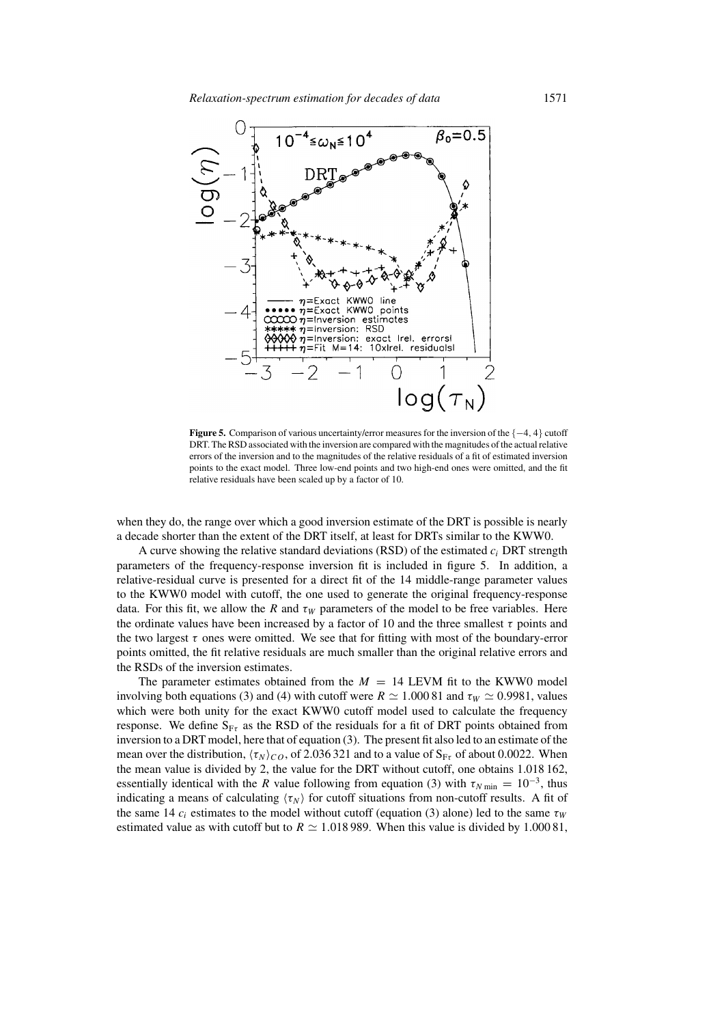

**Figure 5.** Comparison of various uncertainty/error measures for the inversion of the {−4, 4} cutoff DRT. The RSD associated with the inversion are compared with the magnitudes of the actual relative errors of the inversion and to the magnitudes of the relative residuals of a fit of estimated inversion points to the exact model. Three low-end points and two high-end ones were omitted, and the fit relative residuals have been scaled up by a factor of 10.

when they do, the range over which a good inversion estimate of the DRT is possible is nearly a decade shorter than the extent of the DRT itself, at least for DRTs similar to the KWW0.

A curve showing the relative standard deviations (RSD) of the estimated  $c_i$  DRT strength parameters of the frequency-response inversion fit is included in figure 5. In addition, a relative-residual curve is presented for a direct fit of the 14 middle-range parameter values to the KWW0 model with cutoff, the one used to generate the original frequency-response data. For this fit, we allow the R and  $\tau_W$  parameters of the model to be free variables. Here the ordinate values have been increased by a factor of 10 and the three smallest  $\tau$  points and the two largest  $\tau$  ones were omitted. We see that for fitting with most of the boundary-error points omitted, the fit relative residuals are much smaller than the original relative errors and the RSDs of the inversion estimates.

The parameter estimates obtained from the  $M = 14$  LEVM fit to the KWW0 model involving both equations (3) and (4) with cutoff were  $R \simeq 1.00081$  and  $\tau_W \simeq 0.9981$ , values which were both unity for the exact KWW0 cutoff model used to calculate the frequency response. We define  $S_{F\tau}$  as the RSD of the residuals for a fit of DRT points obtained from inversion to a DRT model, here that of equation (3). The present fit also led to an estimate of the mean over the distribution,  $\langle \tau_N \rangle_{CO}$ , of 2.036 321 and to a value of  $S_{F\tau}$  of about 0.0022. When the mean value is divided by 2, the value for the DRT without cutoff, one obtains 1.018 162, essentially identical with the R value following from equation (3) with  $\tau_{N \text{ min}} = 10^{-3}$ , thus indicating a means of calculating  $\langle \tau_N \rangle$  for cutoff situations from non-cutoff results. A fit of the same 14  $c_i$  estimates to the model without cutoff (equation (3) alone) led to the same  $\tau_W$ estimated value as with cutoff but to  $R \simeq 1.018 989$ . When this value is divided by 1.00081,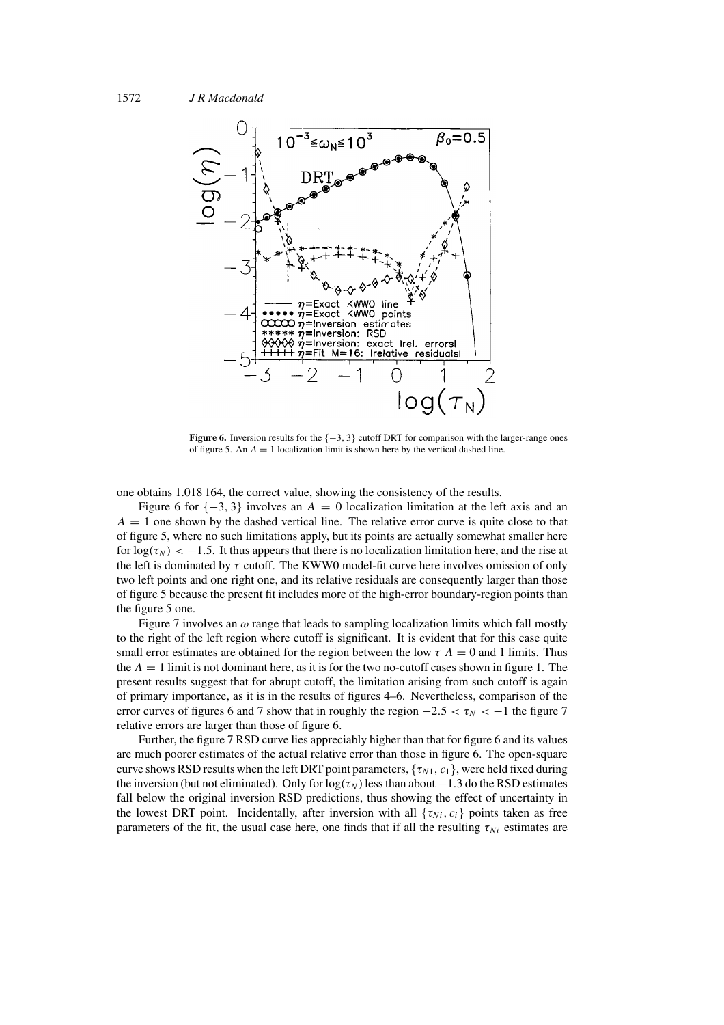

**Figure 6.** Inversion results for the {−3, 3} cutoff DRT for comparison with the larger-range ones of figure 5. An  $A = 1$  localization limit is shown here by the vertical dashed line.

one obtains 1.018 164, the correct value, showing the consistency of the results.

Figure 6 for  $\{-3, 3\}$  involves an  $A = 0$  localization limitation at the left axis and an  $A = 1$  one shown by the dashed vertical line. The relative error curve is quite close to that of figure 5, where no such limitations apply, but its points are actually somewhat smaller here for  $log(\tau_N) < -1.5$ . It thus appears that there is no localization limitation here, and the rise at the left is dominated by  $\tau$  cutoff. The KWW0 model-fit curve here involves omission of only two left points and one right one, and its relative residuals are consequently larger than those of figure 5 because the present fit includes more of the high-error boundary-region points than the figure 5 one.

Figure 7 involves an  $\omega$  range that leads to sampling localization limits which fall mostly to the right of the left region where cutoff is significant. It is evident that for this case quite small error estimates are obtained for the region between the low  $\tau A = 0$  and 1 limits. Thus the  $A = 1$  limit is not dominant here, as it is for the two no-cutoff cases shown in figure 1. The present results suggest that for abrupt cutoff, the limitation arising from such cutoff is again of primary importance, as it is in the results of figures 4–6. Nevertheless, comparison of the error curves of figures 6 and 7 show that in roughly the region  $-2.5 < \tau_N < -1$  the figure 7 relative errors are larger than those of figure 6.

Further, the figure 7 RSD curve lies appreciably higher than that for figure 6 and its values are much poorer estimates of the actual relative error than those in figure 6. The open-square curve shows RSD results when the left DRT point parameters,  $\{\tau_{N1}, c_1\}$ , were held fixed during the inversion (but not eliminated). Only for  $log(\tau_N)$  less than about  $-1.3$  do the RSD estimates fall below the original inversion RSD predictions, thus showing the effect of uncertainty in the lowest DRT point. Incidentally, after inversion with all  $\{\tau_{Ni}, c_i\}$  points taken as free parameters of the fit, the usual case here, one finds that if all the resulting  $\tau_{Ni}$  estimates are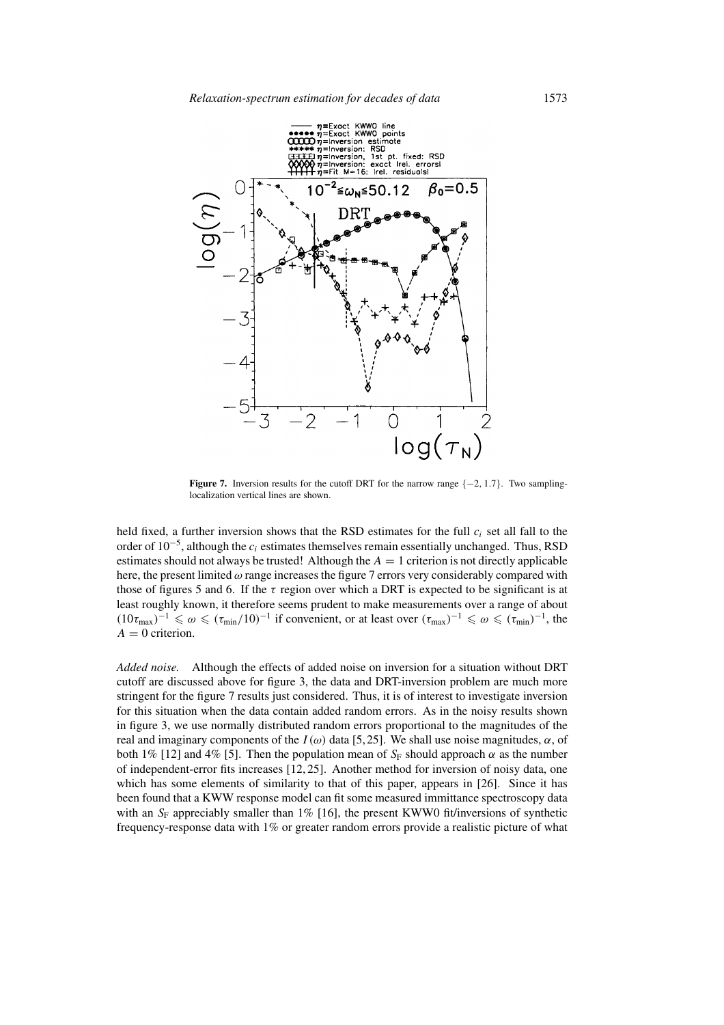

**Figure 7.** Inversion results for the cutoff DRT for the narrow range {−2, 1.7}. Two samplinglocalization vertical lines are shown.

held fixed, a further inversion shows that the RSD estimates for the full  $c_i$  set all fall to the order of  $10^{-5}$ , although the  $c_i$  estimates themselves remain essentially unchanged. Thus, RSD estimates should not always be trusted! Although the  $A = 1$  criterion is not directly applicable here, the present limited  $\omega$  range increases the figure 7 errors very considerably compared with those of figures 5 and 6. If the  $\tau$  region over which a DRT is expected to be significant is at least roughly known, it therefore seems prudent to make measurements over a range of about  $(10\tau_{\text{max}})^{-1} \leq \omega \leq (\tau_{\text{min}}/10)^{-1}$  if convenient, or at least over  $(\tau_{\text{max}})^{-1} \leq \omega \leq (\tau_{\text{min}})^{-1}$ , the  $A = 0$  criterion.

*Added noise.* Although the effects of added noise on inversion for a situation without DRT cutoff are discussed above for figure 3, the data and DRT-inversion problem are much more stringent for the figure 7 results just considered. Thus, it is of interest to investigate inversion for this situation when the data contain added random errors. As in the noisy results shown in figure 3, we use normally distributed random errors proportional to the magnitudes of the real and imaginary components of the  $I(\omega)$  data [5,25]. We shall use noise magnitudes,  $\alpha$ , of both 1% [12] and 4% [5]. Then the population mean of  $S_F$  should approach  $\alpha$  as the number of independent-error fits increases [12, 25]. Another method for inversion of noisy data, one which has some elements of similarity to that of this paper, appears in [26]. Since it has been found that a KWW response model can fit some measured immittance spectroscopy data with an  $S_F$  appreciably smaller than 1% [16], the present KWW0 fit/inversions of synthetic frequency-response data with 1% or greater random errors provide a realistic picture of what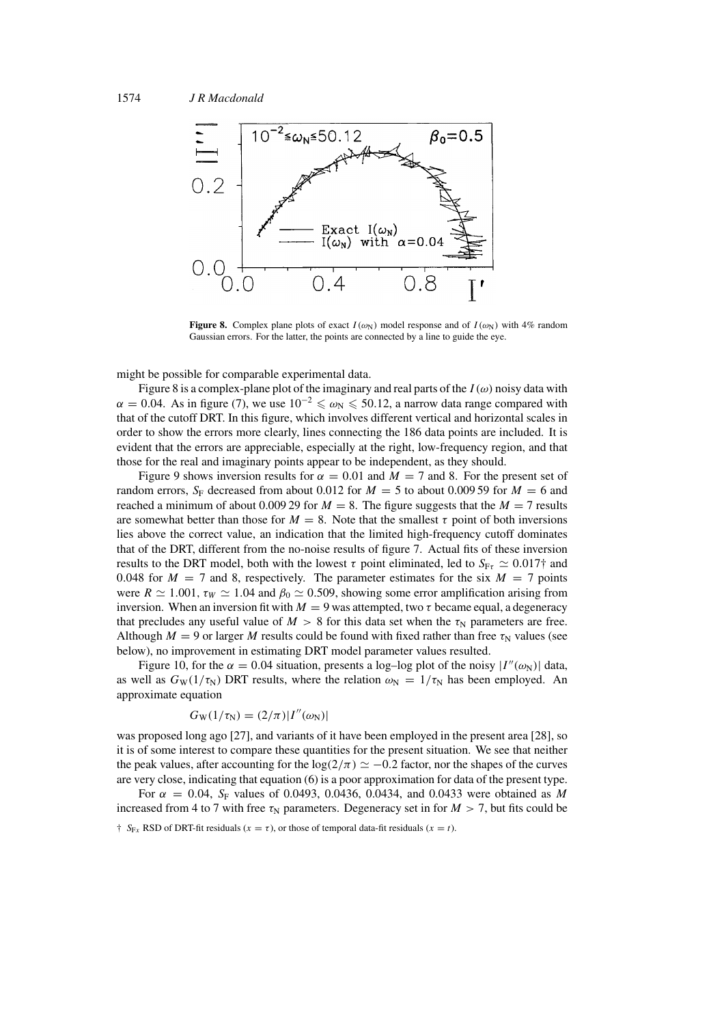

**Figure 8.** Complex plane plots of exact  $I(\omega_N)$  model response and of  $I(\omega_N)$  with 4% random Gaussian errors. For the latter, the points are connected by a line to guide the eye.

might be possible for comparable experimental data.

Figure 8 is a complex-plane plot of the imaginary and real parts of the  $I(\omega)$  noisy data with  $\alpha = 0.04$ . As in figure (7), we use  $10^{-2} \le \omega_N \le 50.12$ , a narrow data range compared with that of the cutoff DRT. In this figure, which involves different vertical and horizontal scales in order to show the errors more clearly, lines connecting the 186 data points are included. It is evident that the errors are appreciable, especially at the right, low-frequency region, and that those for the real and imaginary points appear to be independent, as they should.

Figure 9 shows inversion results for  $\alpha = 0.01$  and  $M = 7$  and 8. For the present set of random errors,  $S_F$  decreased from about 0.012 for  $M = 5$  to about 0.009 59 for  $M = 6$  and reached a minimum of about 0.009 29 for  $M = 8$ . The figure suggests that the  $M = 7$  results are somewhat better than those for  $M = 8$ . Note that the smallest  $\tau$  point of both inversions lies above the correct value, an indication that the limited high-frequency cutoff dominates that of the DRT, different from the no-noise results of figure 7. Actual fits of these inversion results to the DRT model, both with the lowest  $\tau$  point eliminated, led to  $S_{\text{Fr}} \simeq 0.017\dagger$  and 0.048 for  $M = 7$  and 8, respectively. The parameter estimates for the six  $M = 7$  points were  $R \simeq 1.001$ ,  $\tau_W \simeq 1.04$  and  $\beta_0 \simeq 0.509$ , showing some error amplification arising from inversion. When an inversion fit with  $M = 9$  was attempted, two  $\tau$  became equal, a degeneracy that precludes any useful value of  $M > 8$  for this data set when the  $\tau_N$  parameters are free. Although  $M = 9$  or larger M results could be found with fixed rather than free  $\tau_N$  values (see below), no improvement in estimating DRT model parameter values resulted.

Figure 10, for the  $\alpha = 0.04$  situation, presents a log-log plot of the noisy  $|I''(\omega_N)|$  data, as well as  $G_W(1/\tau_N)$  DRT results, where the relation  $\omega_N = 1/\tau_N$  has been employed. An approximate equation

$$
G_{\rm W}(1/\tau_{\rm N})=(2/\pi)|I''(\omega_{\rm N})|
$$

was proposed long ago [27], and variants of it have been employed in the present area [28], so it is of some interest to compare these quantities for the present situation. We see that neither the peak values, after accounting for the log( $2/\pi$ )  $\simeq -0.2$  factor, nor the shapes of the curves are very close, indicating that equation (6) is a poor approximation for data of the present type.

For  $\alpha = 0.04$ , S<sub>F</sub> values of 0.0493, 0.0436, 0.0434, and 0.0433 were obtained as M increased from 4 to 7 with free  $\tau_N$  parameters. Degeneracy set in for  $M > 7$ , but fits could be

 $\uparrow S_{Fx}$  RSD of DRT-fit residuals ( $x = \tau$ ), or those of temporal data-fit residuals ( $x = t$ ).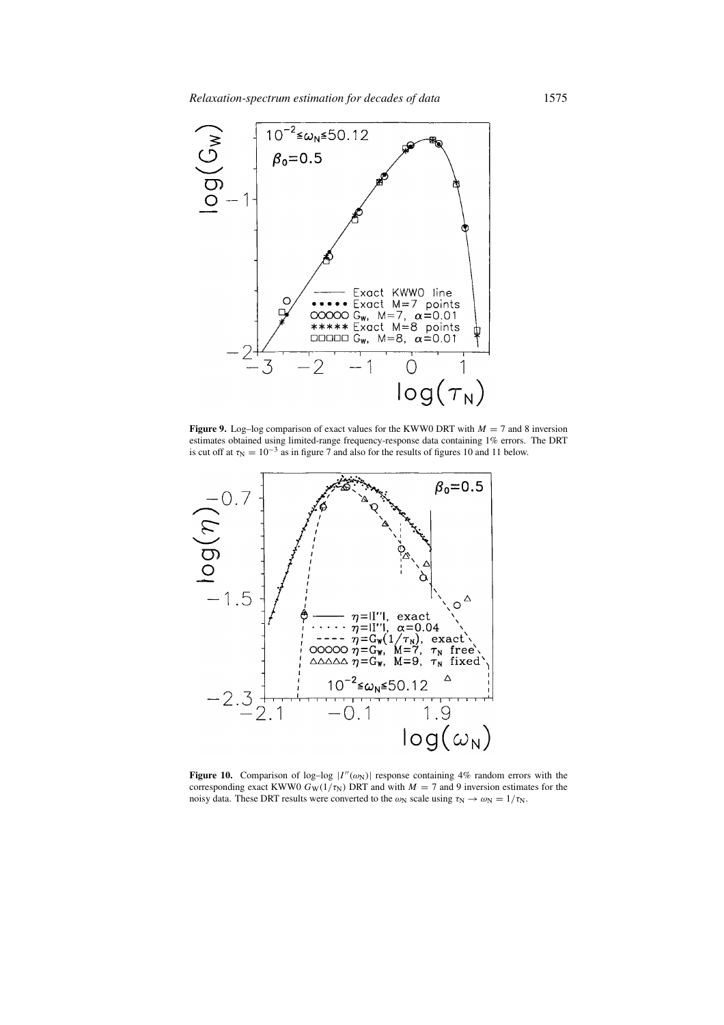

**Figure 9.** Log–log comparison of exact values for the KWW0 DRT with  $M = 7$  and 8 inversion estimates obtained using limited-range frequency-response data containing 1% errors. The DRT is cut off at  $\tau_N = 10^{-3}$  as in figure 7 and also for the results of figures 10 and 11 below.



**Figure 10.** Comparison of log-log  $|I''(\omega_N)|$  response containing 4% random errors with the corresponding exact KWW0  $G_W(1/\tau_N)$  DRT and with  $M = 7$  and 9 inversion estimates for the noisy data. These DRT results were converted to the  $\omega_N$  scale using  $\tau_N \to \omega_N = 1/\tau_N$ .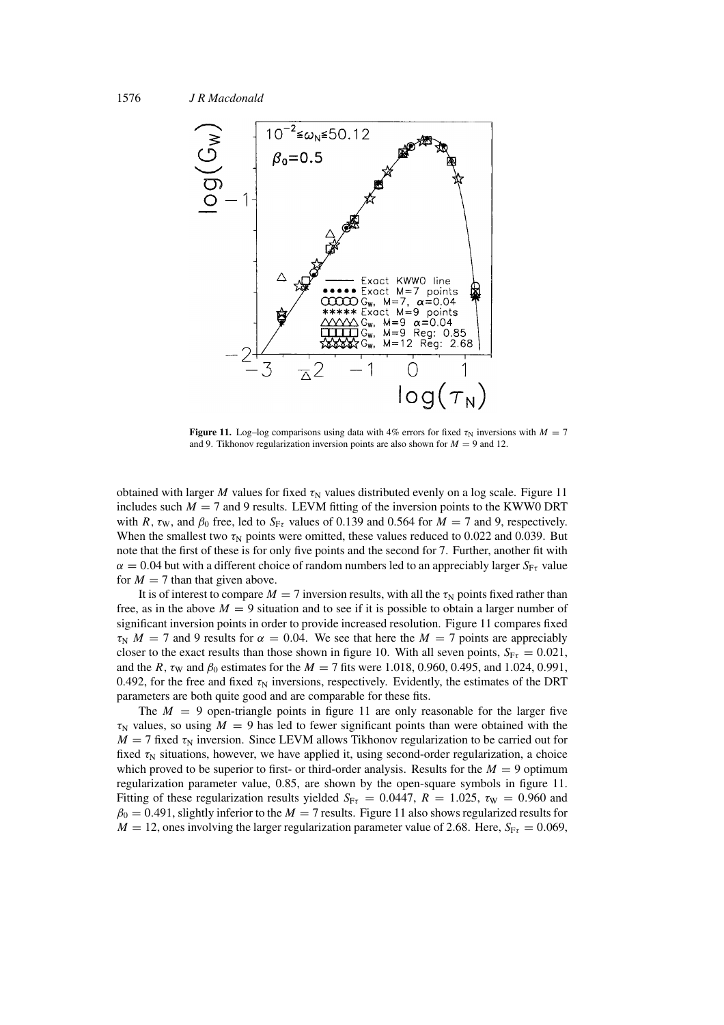

**Figure 11.** Log–log comparisons using data with 4% errors for fixed  $\tau_N$  inversions with  $M = 7$ and 9. Tikhonov regularization inversion points are also shown for  $M = 9$  and 12.

obtained with larger M values for fixed  $\tau_N$  values distributed evenly on a log scale. Figure 11 includes such  $M = 7$  and 9 results. LEVM fitting of the inversion points to the KWW0 DRT with R,  $\tau_w$ , and  $\beta_0$  free, led to  $S_{F\tau}$  values of 0.139 and 0.564 for  $M = 7$  and 9, respectively. When the smallest two  $\tau_N$  points were omitted, these values reduced to 0.022 and 0.039. But note that the first of these is for only five points and the second for 7. Further, another fit with  $\alpha = 0.04$  but with a different choice of random numbers led to an appreciably larger  $S_{F\tau}$  value for  $M = 7$  than that given above.

It is of interest to compare  $M = 7$  inversion results, with all the  $\tau_N$  points fixed rather than free, as in the above  $M = 9$  situation and to see if it is possible to obtain a larger number of significant inversion points in order to provide increased resolution. Figure 11 compares fixed  $\tau_N$  M = 7 and 9 results for  $\alpha = 0.04$ . We see that here the M = 7 points are appreciably closer to the exact results than those shown in figure 10. With all seven points,  $S_{F\tau} = 0.021$ , and the R,  $\tau_{\text{W}}$  and  $\beta_0$  estimates for the  $M = 7$  fits were 1.018, 0.960, 0.495, and 1.024, 0.991, 0.492, for the free and fixed  $\tau_N$  inversions, respectively. Evidently, the estimates of the DRT parameters are both quite good and are comparable for these fits.

The  $M = 9$  open-triangle points in figure 11 are only reasonable for the larger five  $\tau_N$  values, so using  $M = 9$  has led to fewer significant points than were obtained with the  $M = 7$  fixed  $\tau_N$  inversion. Since LEVM allows Tikhonov regularization to be carried out for fixed  $\tau_N$  situations, however, we have applied it, using second-order regularization, a choice which proved to be superior to first- or third-order analysis. Results for the  $M = 9$  optimum regularization parameter value, 0.85, are shown by the open-square symbols in figure 11. Fitting of these regularization results yielded  $S_{F\tau} = 0.0447$ ,  $R = 1.025$ ,  $\tau_W = 0.960$  and  $\beta_0 = 0.491$ , slightly inferior to the  $M = 7$  results. Figure 11 also shows regularized results for  $M = 12$ , ones involving the larger regularization parameter value of 2.68. Here,  $S_{\text{F}\tau} = 0.069$ ,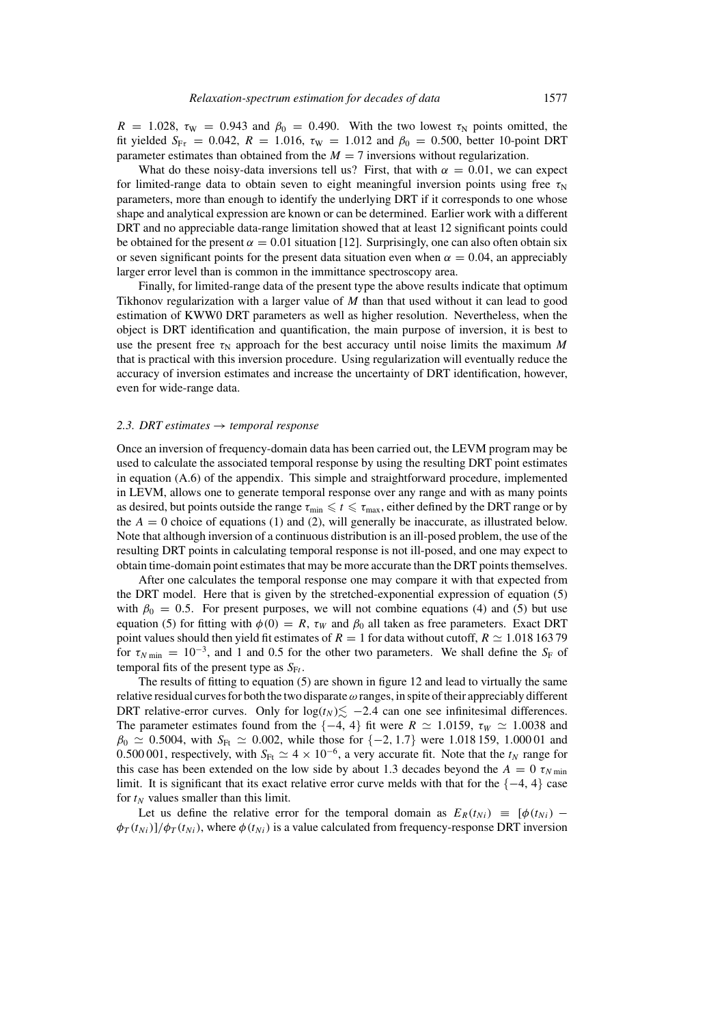$R = 1.028$ ,  $\tau_{\text{W}} = 0.943$  and  $\beta_0 = 0.490$ . With the two lowest  $\tau_{\text{N}}$  points omitted, the fit yielded  $S_{F\tau} = 0.042$ ,  $R = 1.016$ ,  $\tau_W = 1.012$  and  $\beta_0 = 0.500$ , better 10-point DRT parameter estimates than obtained from the  $M = 7$  inversions without regularization.

What do these noisy-data inversions tell us? First, that with  $\alpha = 0.01$ , we can expect for limited-range data to obtain seven to eight meaningful inversion points using free  $\tau_N$ parameters, more than enough to identify the underlying DRT if it corresponds to one whose shape and analytical expression are known or can be determined. Earlier work with a different DRT and no appreciable data-range limitation showed that at least 12 significant points could be obtained for the present  $\alpha = 0.01$  situation [12]. Surprisingly, one can also often obtain six or seven significant points for the present data situation even when  $\alpha = 0.04$ , an appreciably larger error level than is common in the immittance spectroscopy area.

Finally, for limited-range data of the present type the above results indicate that optimum Tikhonov regularization with a larger value of  $M$  than that used without it can lead to good estimation of KWW0 DRT parameters as well as higher resolution. Nevertheless, when the object is DRT identification and quantification, the main purpose of inversion, it is best to use the present free  $\tau_N$  approach for the best accuracy until noise limits the maximum M that is practical with this inversion procedure. Using regularization will eventually reduce the accuracy of inversion estimates and increase the uncertainty of DRT identification, however, even for wide-range data.

#### *2.3. DRT estimates* → *temporal response*

Once an inversion of frequency-domain data has been carried out, the LEVM program may be used to calculate the associated temporal response by using the resulting DRT point estimates in equation (A.6) of the appendix. This simple and straightforward procedure, implemented in LEVM, allows one to generate temporal response over any range and with as many points as desired, but points outside the range  $\tau_{min} \leq t \leq \tau_{max}$ , either defined by the DRT range or by the  $A = 0$  choice of equations (1) and (2), will generally be inaccurate, as illustrated below. Note that although inversion of a continuous distribution is an ill-posed problem, the use of the resulting DRT points in calculating temporal response is not ill-posed, and one may expect to obtain time-domain point estimates that may be more accurate than the DRT points themselves.

After one calculates the temporal response one may compare it with that expected from the DRT model. Here that is given by the stretched-exponential expression of equation (5) with  $\beta_0 = 0.5$ . For present purposes, we will not combine equations (4) and (5) but use equation (5) for fitting with  $\phi(0) = R$ ,  $\tau_W$  and  $\beta_0$  all taken as free parameters. Exact DRT point values should then yield fit estimates of  $R = 1$  for data without cutoff,  $R \simeq 1.018$  163 79 for  $\tau_{N \text{ min}} = 10^{-3}$ , and 1 and 0.5 for the other two parameters. We shall define the S<sub>F</sub> of temporal fits of the present type as  $S_{\mathrm{F}t}$ .

The results of fitting to equation (5) are shown in figure 12 and lead to virtually the same relative residual curves for both the two disparate  $\omega$  ranges, in spite of their appreciably different DRT relative-error curves. Only for  $log(t_N) \lesssim -2.4$  can one see infinitesimal differences. The parameter estimates found from the  $\{-4, 4\}$  fit were  $R \simeq 1.0159$ ,  $\tau_W \simeq 1.0038$  and  $\beta_0 \simeq 0.5004$ , with S<sub>Ft</sub>  $\simeq 0.002$ , while those for  $\{-2, 1.7\}$  were 1.018 159, 1.000 01 and 0.500 001, respectively, with  $S_{\text{Ft}} \simeq 4 \times 10^{-6}$ , a very accurate fit. Note that the  $t_N$  range for this case has been extended on the low side by about 1.3 decades beyond the  $A = 0 \tau_{N \text{ min}}$ limit. It is significant that its exact relative error curve melds with that for the {−4, 4} case for  $t_N$  values smaller than this limit.

Let us define the relative error for the temporal domain as  $E_R(t_{Ni}) = [\phi(t_{Ni}) - \phi(t_{Ni})]$  $\phi_T(t_{Ni})/\phi_T(t_{Ni})$ , where  $\phi(t_{Ni})$  is a value calculated from frequency-response DRT inversion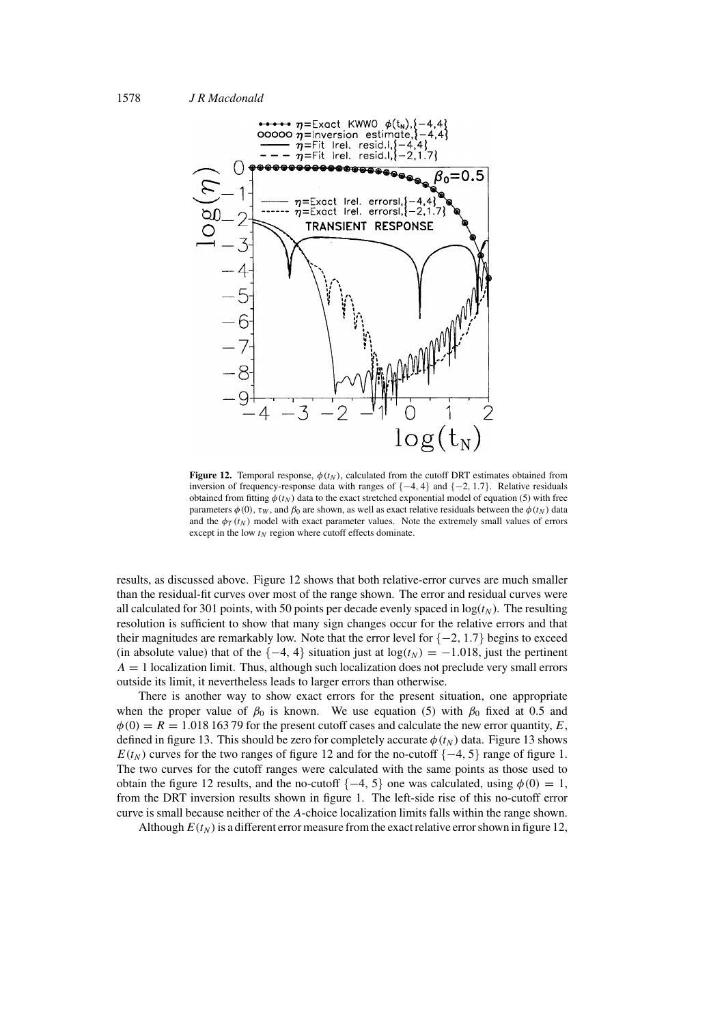

**Figure 12.** Temporal response,  $\phi(t_N)$ , calculated from the cutoff DRT estimates obtained from inversion of frequency-response data with ranges of {−4, 4} and {−2, 1.7}. Relative residuals obtained from fitting  $\phi(t_N)$  data to the exact stretched exponential model of equation (5) with free parameters  $\phi(0)$ ,  $\tau_W$ , and  $\beta_0$  are shown, as well as exact relative residuals between the  $\phi(t_N)$  data and the  $\phi_T(t_N)$  model with exact parameter values. Note the extremely small values of errors except in the low  $t_N$  region where cutoff effects dominate.

results, as discussed above. Figure 12 shows that both relative-error curves are much smaller than the residual-fit curves over most of the range shown. The error and residual curves were all calculated for 301 points, with 50 points per decade evenly spaced in  $log(t_N)$ . The resulting resolution is sufficient to show that many sign changes occur for the relative errors and that their magnitudes are remarkably low. Note that the error level for  $\{-2, 1.7\}$  begins to exceed (in absolute value) that of the  $\{-4, 4\}$  situation just at  $\log(t_N) = -1.018$ , just the pertinent  $A = 1$  localization limit. Thus, although such localization does not preclude very small errors outside its limit, it nevertheless leads to larger errors than otherwise.

There is another way to show exact errors for the present situation, one appropriate when the proper value of  $\beta_0$  is known. We use equation (5) with  $\beta_0$  fixed at 0.5 and  $\phi(0) = R = 1.01816379$  for the present cutoff cases and calculate the new error quantity, E, defined in figure 13. This should be zero for completely accurate  $\phi(t_N)$  data. Figure 13 shows  $E(t_N)$  curves for the two ranges of figure 12 and for the no-cutoff {−4, 5} range of figure 1. The two curves for the cutoff ranges were calculated with the same points as those used to obtain the figure 12 results, and the no-cutoff  $\{-4, 5\}$  one was calculated, using  $\phi(0) = 1$ , from the DRT inversion results shown in figure 1. The left-side rise of this no-cutoff error curve is small because neither of the A-choice localization limits falls within the range shown.

Although  $E(t_N)$  is a different error measure from the exact relative error shown in figure 12,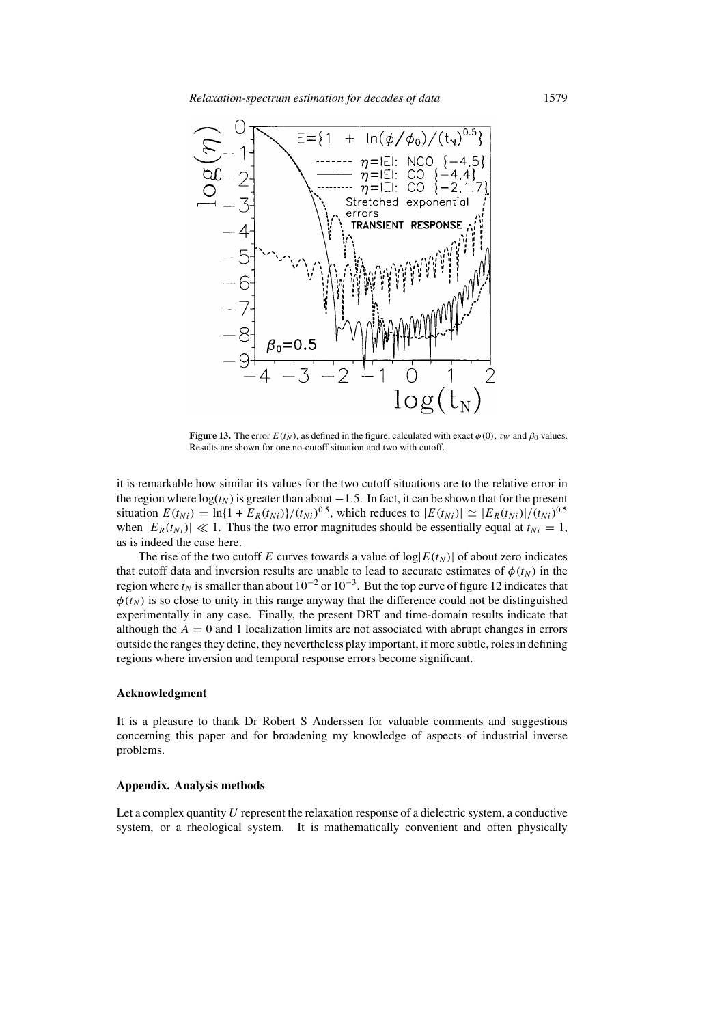

**Figure 13.** The error  $E(t_N)$ , as defined in the figure, calculated with exact  $\phi(0)$ ,  $\tau_W$  and  $\beta_0$  values. Results are shown for one no-cutoff situation and two with cutoff.

it is remarkable how similar its values for the two cutoff situations are to the relative error in the region where  $log(t_N)$  is greater than about  $-1.5$ . In fact, it can be shown that for the present situation  $E(t_{Ni}) = \ln{1 + E_R(t_{Ni})}/(t_{Ni})^{0.5}$ , which reduces to  $|E(t_{Ni})| \simeq |E_R(t_{Ni})|/(t_{Ni})^{0.5}$ when  $|E_R(t_{Ni})| \ll 1$ . Thus the two error magnitudes should be essentially equal at  $t_{Ni} = 1$ , as is indeed the case here.

The rise of the two cutoff E curves towards a value of  $log|E(t_N)|$  of about zero indicates that cutoff data and inversion results are unable to lead to accurate estimates of  $\phi(t_N)$  in the region where  $t_N$  is smaller than about 10<sup>-2</sup> or 10<sup>-3</sup>. But the top curve of figure 12 indicates that  $\phi(t_N)$  is so close to unity in this range anyway that the difference could not be distinguished experimentally in any case. Finally, the present DRT and time-domain results indicate that although the  $A = 0$  and 1 localization limits are not associated with abrupt changes in errors outside the ranges they define, they nevertheless play important, if more subtle, roles in defining regions where inversion and temporal response errors become significant.

### **Acknowledgment**

It is a pleasure to thank Dr Robert S Anderssen for valuable comments and suggestions concerning this paper and for broadening my knowledge of aspects of industrial inverse problems.

### **Appendix. Analysis methods**

Let a complex quantity  $U$  represent the relaxation response of a dielectric system, a conductive system, or a rheological system. It is mathematically convenient and often physically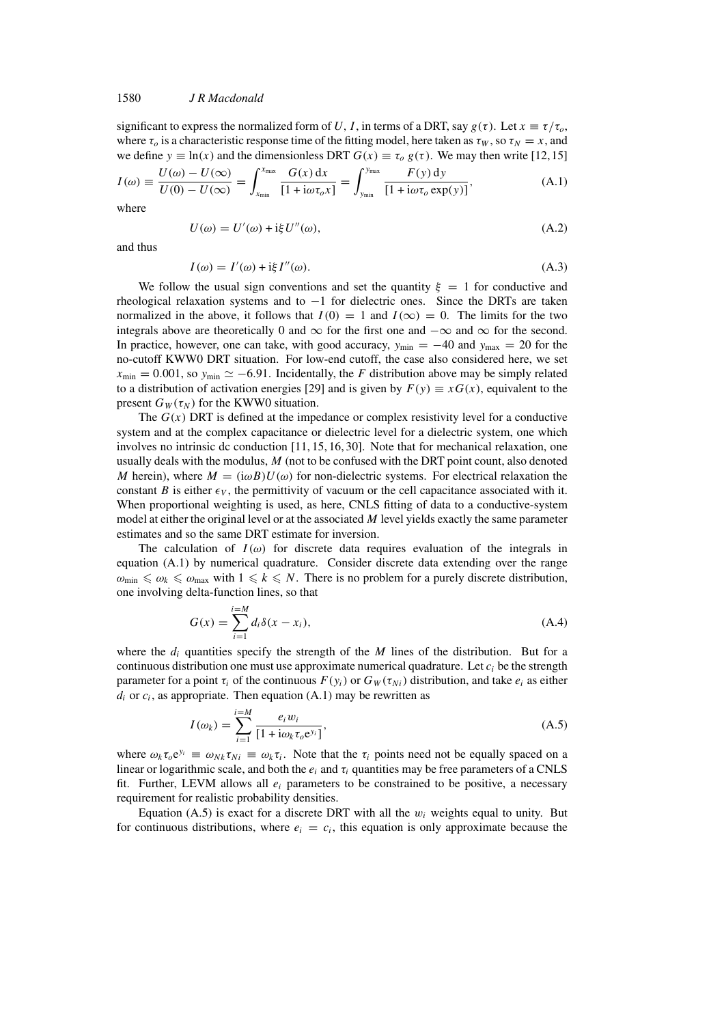## 1580 *J R Macdonald*

significant to express the normalized form of U, I, in terms of a DRT, say  $g(\tau)$ . Let  $x \equiv \tau/\tau_o$ , where  $\tau_0$  is a characteristic response time of the fitting model, here taken as  $\tau_W$ , so  $\tau_N = x$ , and we define  $y \equiv \ln(x)$  and the dimensionless DRT  $G(x) \equiv \tau_o g(\tau)$ . We may then write [12,15]

$$
I(\omega) \equiv \frac{U(\omega) - U(\infty)}{U(0) - U(\infty)} = \int_{x_{\min}}^{x_{\max}} \frac{G(x) dx}{[1 + i\omega \tau_o x]} = \int_{y_{\min}}^{y_{\max}} \frac{F(y) dy}{[1 + i\omega \tau_o \exp(y)]},
$$
(A.1)

where

$$
U(\omega) = U'(\omega) + i\xi U''(\omega), \tag{A.2}
$$

and thus

$$
I(\omega) = I'(\omega) + i\xi I''(\omega).
$$
 (A.3)

We follow the usual sign conventions and set the quantity  $\xi = 1$  for conductive and rheological relaxation systems and to −1 for dielectric ones. Since the DRTs are taken normalized in the above, it follows that  $I(0) = 1$  and  $I(\infty) = 0$ . The limits for the two integrals above are theoretically 0 and  $\infty$  for the first one and  $-\infty$  and  $\infty$  for the second. In practice, however, one can take, with good accuracy,  $y_{\text{min}} = -40$  and  $y_{\text{max}} = 20$  for the no-cutoff KWW0 DRT situation. For low-end cutoff, the case also considered here, we set  $x_{\text{min}} = 0.001$ , so  $y_{\text{min}} \approx -6.91$ . Incidentally, the F distribution above may be simply related to a distribution of activation energies [29] and is given by  $F(y) \equiv xG(x)$ , equivalent to the present  $G_W(\tau_N)$  for the KWW0 situation.

The  $G(x)$  DRT is defined at the impedance or complex resistivity level for a conductive system and at the complex capacitance or dielectric level for a dielectric system, one which involves no intrinsic dc conduction [11, 15, 16, 30]. Note that for mechanical relaxation, one usually deals with the modulus, M (not to be confused with the DRT point count, also denoted M herein), where  $M = (i\omega B)U(\omega)$  for non-dielectric systems. For electrical relaxation the constant B is either  $\epsilon_V$ , the permittivity of vacuum or the cell capacitance associated with it. When proportional weighting is used, as here, CNLS fitting of data to a conductive-system model at either the original level or at the associated  $M$  level yields exactly the same parameter estimates and so the same DRT estimate for inversion.

The calculation of  $I(\omega)$  for discrete data requires evaluation of the integrals in equation (A.1) by numerical quadrature. Consider discrete data extending over the range  $\omega_{\min} \leq \omega_k \leq \omega_{\max}$  with  $1 \leq k \leq N$ . There is no problem for a purely discrete distribution, one involving delta-function lines, so that

$$
G(x) = \sum_{i=1}^{i=M} d_i \delta(x - x_i),
$$
\n(A.4)

where the  $d_i$  quantities specify the strength of the M lines of the distribution. But for a continuous distribution one must use approximate numerical quadrature. Let  $c_i$  be the strength parameter for a point  $\tau_i$  of the continuous  $F(y_i)$  or  $G_W(\tau_{Ni})$  distribution, and take  $e_i$  as either  $d_i$  or  $c_i$ , as appropriate. Then equation (A.1) may be rewritten as

$$
I(\omega_k) = \sum_{i=1}^{i=M} \frac{e_i w_i}{[1 + i\omega_k \tau_o e^{y_i}]},
$$
\n(A.5)

where  $\omega_k \tau_o e^{y_i} \equiv \omega_{Nk} \tau_{Ni} \equiv \omega_k \tau_i$ . Note that the  $\tau_i$  points need not be equally spaced on a linear or logarithmic scale, and both the  $e_i$  and  $\tau_i$  quantities may be free parameters of a CNLS fit. Further, LEVM allows all  $e_i$  parameters to be constrained to be positive, a necessary requirement for realistic probability densities.

Equation (A.5) is exact for a discrete DRT with all the  $w_i$  weights equal to unity. But for continuous distributions, where  $e_i = c_i$ , this equation is only approximate because the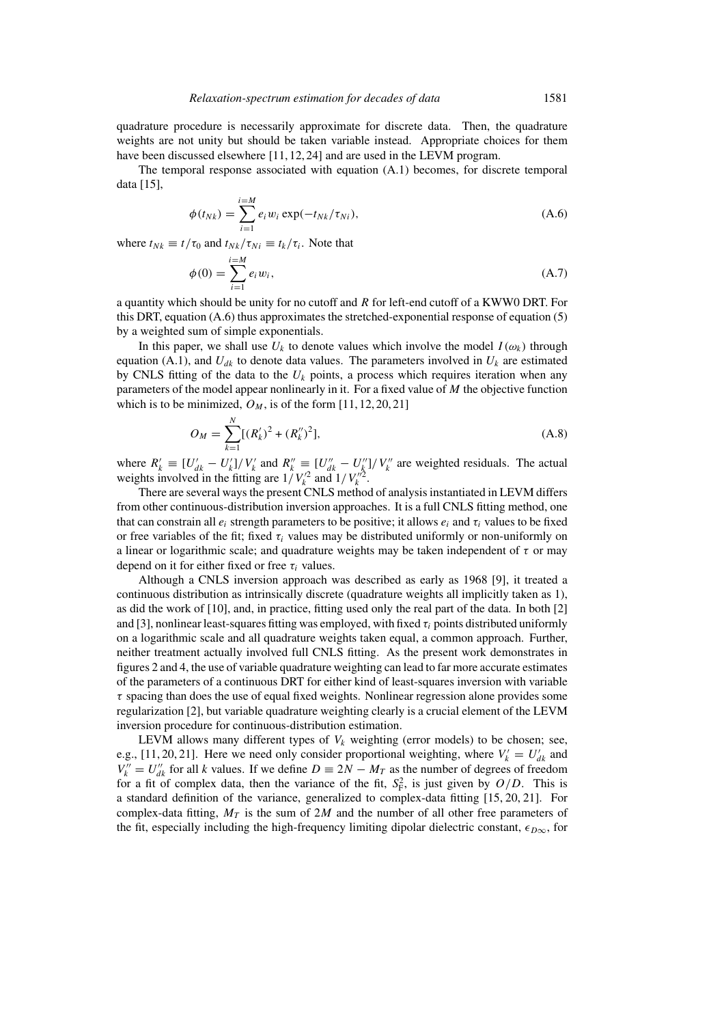quadrature procedure is necessarily approximate for discrete data. Then, the quadrature weights are not unity but should be taken variable instead. Appropriate choices for them have been discussed elsewhere [11, 12, 24] and are used in the LEVM program.

The temporal response associated with equation (A.1) becomes, for discrete temporal data [15],

$$
\phi(t_{Nk}) = \sum_{i=1}^{i=M} e_i w_i \exp(-t_{Nk}/\tau_{Ni}),
$$
\n(A.6)

where  $t_{Nk} \equiv t/\tau_0$  and  $t_{Nk}/\tau_{Ni} \equiv t_k/\tau_i$ . Note that

$$
\phi(0) = \sum_{i=1}^{i=M} e_i w_i,
$$
\n(A.7)

a quantity which should be unity for no cutoff and  $R$  for left-end cutoff of a KWW0 DRT. For this DRT, equation (A.6) thus approximates the stretched-exponential response of equation (5) by a weighted sum of simple exponentials.

In this paper, we shall use  $U_k$  to denote values which involve the model  $I(\omega_k)$  through equation (A.1), and  $U_{dk}$  to denote data values. The parameters involved in  $U_k$  are estimated by CNLS fitting of the data to the  $U_k$  points, a process which requires iteration when any parameters of the model appear nonlinearly in it. For a fixed value of  $M$  the objective function which is to be minimized,  $O_M$ , is of the form [11, 12, 20, 21]

$$
O_M = \sum_{k=1}^{N} [(R'_k)^2 + (R''_k)^2],
$$
\n(A.8)

where  $R'_k \equiv [U'_{dk} - U'_k]/V'_k$  and  $R''_k \equiv [U''_{dk} - U''_k]/V''_k$  are weighted residuals. The actual weights involved in the fitting are  $1/V_k^2$  and  $1/V_k^2$ .

There are several ways the present CNLS method of analysis instantiated in LEVM differs from other continuous-distribution inversion approaches. It is a full CNLS fitting method, one that can constrain all  $e_i$  strength parameters to be positive; it allows  $e_i$  and  $\tau_i$  values to be fixed or free variables of the fit; fixed  $\tau_i$  values may be distributed uniformly or non-uniformly on a linear or logarithmic scale; and quadrature weights may be taken independent of  $\tau$  or may depend on it for either fixed or free  $\tau_i$  values.

Although a CNLS inversion approach was described as early as 1968 [9], it treated a continuous distribution as intrinsically discrete (quadrature weights all implicitly taken as 1), as did the work of [10], and, in practice, fitting used only the real part of the data. In both [2] and [3], nonlinear least-squares fitting was employed, with fixed  $\tau_i$  points distributed uniformly on a logarithmic scale and all quadrature weights taken equal, a common approach. Further, neither treatment actually involved full CNLS fitting. As the present work demonstrates in figures 2 and 4, the use of variable quadrature weighting can lead to far more accurate estimates of the parameters of a continuous DRT for either kind of least-squares inversion with variable  $\tau$  spacing than does the use of equal fixed weights. Nonlinear regression alone provides some regularization [2], but variable quadrature weighting clearly is a crucial element of the LEVM inversion procedure for continuous-distribution estimation.

LEVM allows many different types of  $V_k$  weighting (error models) to be chosen; see, e.g., [11, 20, 21]. Here we need only consider proportional weighting, where  $V'_k = U'_{dk}$  and  $V_k'' = U_{dk}''$  for all k values. If we define  $D = 2N - M_T$  as the number of degrees of freedom for a fit of complex data, then the variance of the fit,  $S_F^2$ , is just given by  $O/D$ . This is a standard definition of the variance, generalized to complex-data fitting [15, 20, 21]. For complex-data fitting,  $M_T$  is the sum of 2M and the number of all other free parameters of the fit, especially including the high-frequency limiting dipolar dielectric constant,  $\epsilon_{D\infty}$ , for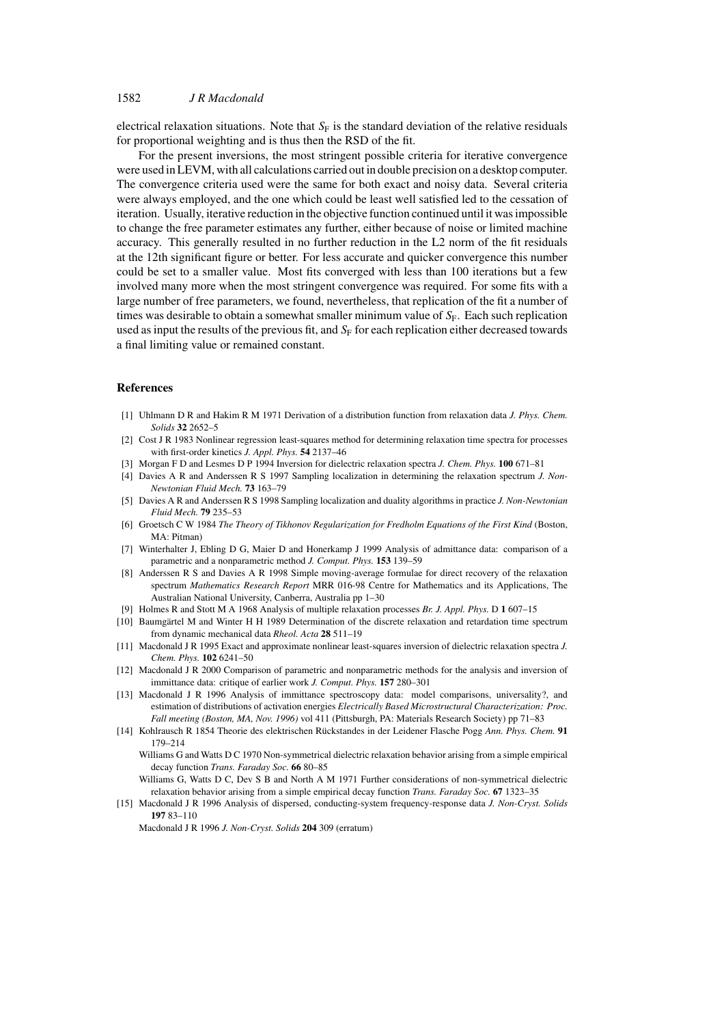# 1582 *J R Macdonald*

electrical relaxation situations. Note that  $S_F$  is the standard deviation of the relative residuals for proportional weighting and is thus then the RSD of the fit.

For the present inversions, the most stringent possible criteria for iterative convergence were used in LEVM, with all calculations carried out in double precision on a desktop computer. The convergence criteria used were the same for both exact and noisy data. Several criteria were always employed, and the one which could be least well satisfied led to the cessation of iteration. Usually, iterative reduction in the objective function continued until it was impossible to change the free parameter estimates any further, either because of noise or limited machine accuracy. This generally resulted in no further reduction in the L2 norm of the fit residuals at the 12th significant figure or better. For less accurate and quicker convergence this number could be set to a smaller value. Most fits converged with less than 100 iterations but a few involved many more when the most stringent convergence was required. For some fits with a large number of free parameters, we found, nevertheless, that replication of the fit a number of times was desirable to obtain a somewhat smaller minimum value of  $S_F$ . Each such replication used as input the results of the previous fit, and  $S_F$  for each replication either decreased towards a final limiting value or remained constant.

# **References**

- [1] Uhlmann D R and Hakim R M 1971 Derivation of a distribution function from relaxation data *J. Phys. Chem. Solids* **32** 2652–5
- [2] Cost J R 1983 Nonlinear regression least-squares method for determining relaxation time spectra for processes with first-order kinetics *J. Appl. Phys.* **54** 2137–46
- [3] Morgan F D and Lesmes D P 1994 Inversion for dielectric relaxation spectra *J. Chem. Phys.* **100** 671–81
- [4] Davies A R and Anderssen R S 1997 Sampling localization in determining the relaxation spectrum *J. Non-Newtonian Fluid Mech.* **73** 163–79
- [5] Davies A R and Anderssen R S 1998 Sampling localization and duality algorithms in practice *J. Non-Newtonian Fluid Mech.* **79** 235–53
- [6] Groetsch C W 1984 *The Theory of Tikhonov Regularization for Fredholm Equations of the First Kind* (Boston, MA: Pitman)
- [7] Winterhalter J, Ebling D G, Maier D and Honerkamp J 1999 Analysis of admittance data: comparison of a parametric and a nonparametric method *J. Comput. Phys.* **153** 139–59
- [8] Anderssen R S and Davies A R 1998 Simple moving-average formulae for direct recovery of the relaxation spectrum *Mathematics Research Report* MRR 016-98 Centre for Mathematics and its Applications, The Australian National University, Canberra, Australia pp 1–30
- [9] Holmes R and Stott M A 1968 Analysis of multiple relaxation processes *Br. J. Appl. Phys.* D **1** 607–15
- [10] Baumgärtel M and Winter H H 1989 Determination of the discrete relaxation and retardation time spectrum from dynamic mechanical data *Rheol. Acta* **28** 511–19
- [11] Macdonald J R 1995 Exact and approximate nonlinear least-squares inversion of dielectric relaxation spectra *J. Chem. Phys.* **102** 6241–50
- [12] Macdonald J R 2000 Comparison of parametric and nonparametric methods for the analysis and inversion of immittance data: critique of earlier work *J. Comput. Phys.* **157** 280–301
- [13] Macdonald J R 1996 Analysis of immittance spectroscopy data: model comparisons, universality?, and estimation of distributions of activation energies *Electrically Based Microstructural Characterization: Proc. Fall meeting (Boston, MA, Nov. 1996)* vol 411 (Pittsburgh, PA: Materials Research Society) pp 71–83
- [14] Kohlrausch R 1854 Theorie des elektrischen Rückstandes in der Leidener Flasche Pogg Ann. Phys. Chem. 91 179–214

Williams G and Watts D C 1970 Non-symmetrical dielectric relaxation behavior arising from a simple empirical decay function *Trans. Faraday Soc.* **66** 80–85

Williams G, Watts D C, Dev S B and North A M 1971 Further considerations of non-symmetrical dielectric relaxation behavior arising from a simple empirical decay function *Trans. Faraday Soc.* **67** 1323–35

[15] Macdonald J R 1996 Analysis of dispersed, conducting-system frequency-response data *J. Non-Cryst. Solids* **197** 83–110

Macdonald J R 1996 *J. Non-Cryst. Solids* **204** 309 (erratum)